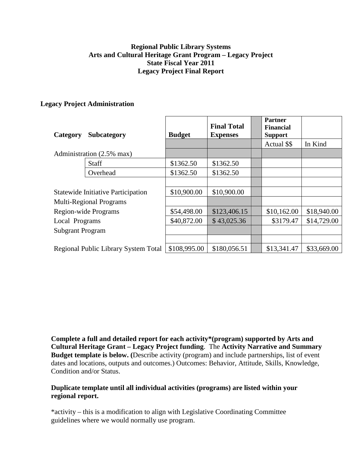## **Regional Public Library Systems Arts and Cultural Heritage Grant Program – Legacy Project State Fiscal Year 2011 Legacy Project Final Report**

## **Legacy Project Administration**

| Category                | <b>Subcategory</b>                        | <b>Budget</b> | <b>Final Total</b><br><b>Expenses</b> | <b>Partner</b><br><b>Financial</b><br><b>Support</b> |             |
|-------------------------|-------------------------------------------|---------------|---------------------------------------|------------------------------------------------------|-------------|
|                         |                                           |               |                                       | Actual \$\$                                          | In Kind     |
|                         | Administration (2.5% max)                 |               |                                       |                                                      |             |
|                         | <b>Staff</b>                              | \$1362.50     | \$1362.50                             |                                                      |             |
|                         | Overhead                                  | \$1362.50     | \$1362.50                             |                                                      |             |
|                         |                                           |               |                                       |                                                      |             |
|                         | <b>Statewide Initiative Participation</b> | \$10,900.00   | \$10,900.00                           |                                                      |             |
|                         | <b>Multi-Regional Programs</b>            |               |                                       |                                                      |             |
|                         | Region-wide Programs                      | \$54,498.00   | \$123,406.15                          | \$10,162.00                                          | \$18,940.00 |
| Local Programs          |                                           | \$40,872.00   | \$43,025.36                           | \$3179.47                                            | \$14,729.00 |
| <b>Subgrant Program</b> |                                           |               |                                       |                                                      |             |
|                         |                                           |               |                                       |                                                      |             |
|                         | Regional Public Library System Total      | \$108,995.00  | \$180,056.51                          | \$13,341.47                                          | \$33,669.00 |

**Complete a full and detailed report for each activity\*(program) supported by Arts and Cultural Heritage Grant – Legacy Project funding**. The **Activity Narrative and Summary Budget template is below. (**Describe activity (program) and include partnerships, list of event dates and locations, outputs and outcomes.) Outcomes: Behavior, Attitude, Skills, Knowledge, Condition and/or Status.

### **Duplicate template until all individual activities (programs) are listed within your regional report.**

\*activity – this is a modification to align with Legislative Coordinating Committee guidelines where we would normally use program.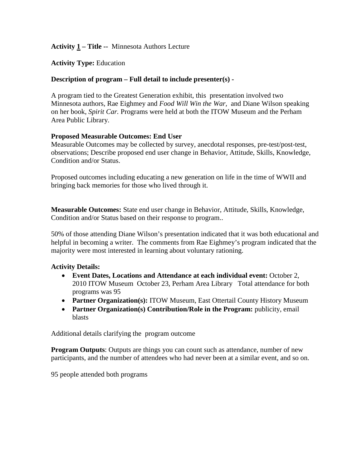## **Activity 1 – Title --** Minnesota Authors Lecture

**Activity Type:** Education

## **Description of program – Full detail to include presenter(s) -**

A program tied to the Greatest Generation exhibit, this presentation involved two Minnesota authors, Rae Eighmey and *Food Will Win the War,* and Diane Wilson speaking on her book, *Spirit Car.* Programs were held at both the ITOW Museum and the Perham Area Public Library.

### **Proposed Measurable Outcomes: End User**

Measurable Outcomes may be collected by survey, anecdotal responses, pre-test/post-test, observations; Describe proposed end user change in Behavior, Attitude, Skills, Knowledge, Condition and/or Status.

Proposed outcomes including educating a new generation on life in the time of WWII and bringing back memories for those who lived through it.

**Measurable Outcomes:** State end user change in Behavior, Attitude, Skills, Knowledge, Condition and/or Status based on their response to program..

50% of those attending Diane Wilson's presentation indicated that it was both educational and helpful in becoming a writer. The comments from Rae Eighmey's program indicated that the majority were most interested in learning about voluntary rationing.

### **Activity Details:**

- **Event Dates, Locations and Attendance at each individual event:** October 2, 2010 ITOW Museum October 23, Perham Area Library Total attendance for both programs was 95
- **Partner Organization(s):** ITOW Museum, East Ottertail County History Museum
- **Partner Organization(s) Contribution/Role in the Program:** publicity, email blasts

Additional details clarifying the program outcome

**Program Outputs**: Outputs are things you can count such as attendance, number of new participants, and the number of attendees who had never been at a similar event, and so on.

95 people attended both programs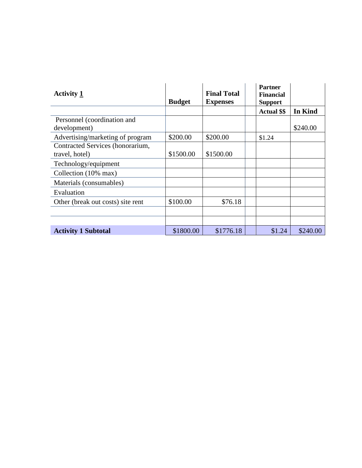| <b>Activity 1</b>                 | <b>Budget</b> | <b>Final Total</b><br><b>Expenses</b> | <b>Partner</b><br><b>Financial</b><br><b>Support</b> |          |
|-----------------------------------|---------------|---------------------------------------|------------------------------------------------------|----------|
|                                   |               |                                       | <b>Actual \$\$</b>                                   | In Kind  |
| Personnel (coordination and       |               |                                       |                                                      |          |
| development)                      |               |                                       |                                                      | \$240.00 |
| Advertising/marketing of program  | \$200.00      | \$200.00                              | \$1.24                                               |          |
| Contracted Services (honorarium,  |               |                                       |                                                      |          |
| travel, hotel)                    | \$1500.00     | \$1500.00                             |                                                      |          |
| Technology/equipment              |               |                                       |                                                      |          |
| Collection (10% max)              |               |                                       |                                                      |          |
| Materials (consumables)           |               |                                       |                                                      |          |
| Evaluation                        |               |                                       |                                                      |          |
| Other (break out costs) site rent | \$100.00      | \$76.18                               |                                                      |          |
|                                   |               |                                       |                                                      |          |
|                                   |               |                                       |                                                      |          |
| <b>Activity 1 Subtotal</b>        | \$1800.00     | \$1776.18                             | \$1.24                                               | \$240.00 |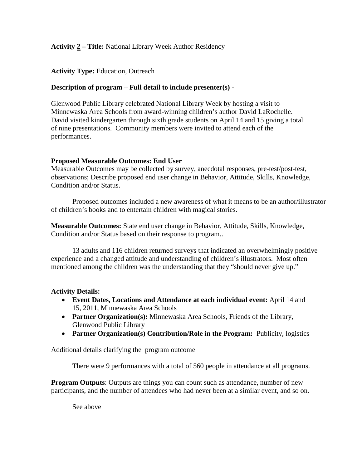# **Activity 2 – Title:** National Library Week Author Residency

## **Activity Type:** Education, Outreach

## **Description of program – Full detail to include presenter(s) -**

Glenwood Public Library celebrated National Library Week by hosting a visit to Minnewaska Area Schools from award-winning children's author David LaRochelle. David visited kindergarten through sixth grade students on April 14 and 15 giving a total of nine presentations. Community members were invited to attend each of the performances.

### **Proposed Measurable Outcomes: End User**

Measurable Outcomes may be collected by survey, anecdotal responses, pre-test/post-test, observations; Describe proposed end user change in Behavior, Attitude, Skills, Knowledge, Condition and/or Status.

Proposed outcomes included a new awareness of what it means to be an author/illustrator of children's books and to entertain children with magical stories.

**Measurable Outcomes:** State end user change in Behavior, Attitude, Skills, Knowledge, Condition and/or Status based on their response to program..

13 adults and 116 children returned surveys that indicated an overwhelmingly positive experience and a changed attitude and understanding of children's illustrators. Most often mentioned among the children was the understanding that they "should never give up."

### **Activity Details:**

- **Event Dates, Locations and Attendance at each individual event:** April 14 and 15, 2011, Minnewaska Area Schools
- **Partner Organization(s):** Minnewaska Area Schools, Friends of the Library, Glenwood Public Library
- **Partner Organization(s) Contribution/Role in the Program:** Publicity, logistics

Additional details clarifying the program outcome

There were 9 performances with a total of 560 people in attendance at all programs.

**Program Outputs:** Outputs are things you can count such as attendance, number of new participants, and the number of attendees who had never been at a similar event, and so on.

See above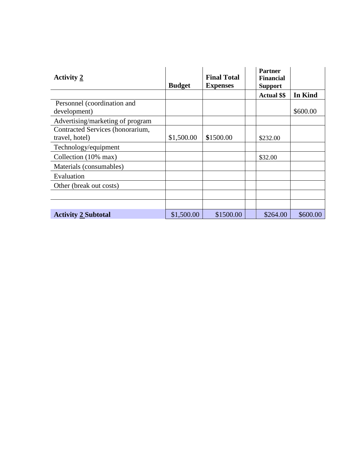| <b>Activity 2</b>                | <b>Budget</b> | <b>Final Total</b><br><b>Expenses</b> | <b>Partner</b><br><b>Financial</b><br><b>Support</b> |          |
|----------------------------------|---------------|---------------------------------------|------------------------------------------------------|----------|
|                                  |               |                                       | <b>Actual \$\$</b>                                   | In Kind  |
| Personnel (coordination and      |               |                                       |                                                      |          |
| development)                     |               |                                       |                                                      | \$600.00 |
| Advertising/marketing of program |               |                                       |                                                      |          |
| Contracted Services (honorarium, |               |                                       |                                                      |          |
| travel, hotel)                   | \$1,500.00    | \$1500.00                             | \$232.00                                             |          |
| Technology/equipment             |               |                                       |                                                      |          |
| Collection (10% max)             |               |                                       | \$32.00                                              |          |
| Materials (consumables)          |               |                                       |                                                      |          |
| Evaluation                       |               |                                       |                                                      |          |
| Other (break out costs)          |               |                                       |                                                      |          |
|                                  |               |                                       |                                                      |          |
|                                  |               |                                       |                                                      |          |
| <b>Activity 2 Subtotal</b>       | \$1,500.00    | \$1500.00                             | \$264.00                                             | \$600.00 |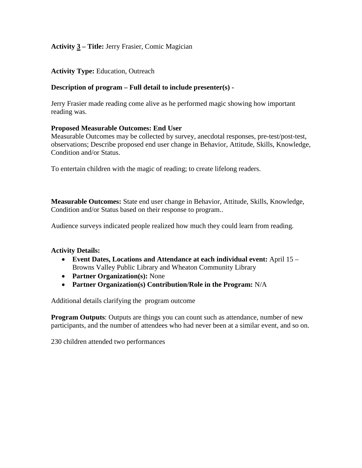# **Activity 3 – Title:** Jerry Frasier, Comic Magician

## **Activity Type:** Education, Outreach

## **Description of program – Full detail to include presenter(s) -**

Jerry Frasier made reading come alive as he performed magic showing how important reading was.

### **Proposed Measurable Outcomes: End User**

Measurable Outcomes may be collected by survey, anecdotal responses, pre-test/post-test, observations; Describe proposed end user change in Behavior, Attitude, Skills, Knowledge, Condition and/or Status.

To entertain children with the magic of reading; to create lifelong readers.

**Measurable Outcomes:** State end user change in Behavior, Attitude, Skills, Knowledge, Condition and/or Status based on their response to program..

Audience surveys indicated people realized how much they could learn from reading.

### **Activity Details:**

- **Event Dates, Locations and Attendance at each individual event:** April 15 Browns Valley Public Library and Wheaton Community Library
- **Partner Organization(s):** None
- **Partner Organization(s) Contribution/Role in the Program:** N/A

Additional details clarifying the program outcome

**Program Outputs**: Outputs are things you can count such as attendance, number of new participants, and the number of attendees who had never been at a similar event, and so on.

230 children attended two performances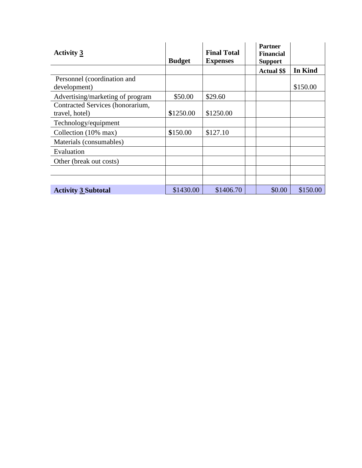| <b>Activity 3</b>                                  | <b>Budget</b> | <b>Final Total</b><br><b>Expenses</b> | <b>Partner</b><br><b>Financial</b><br><b>Support</b> |          |
|----------------------------------------------------|---------------|---------------------------------------|------------------------------------------------------|----------|
|                                                    |               |                                       | <b>Actual \$\$</b>                                   | In Kind  |
| Personnel (coordination and<br>development)        |               |                                       |                                                      | \$150.00 |
| Advertising/marketing of program                   | \$50.00       | \$29.60                               |                                                      |          |
| Contracted Services (honorarium,<br>travel, hotel) | \$1250.00     | \$1250.00                             |                                                      |          |
| Technology/equipment                               |               |                                       |                                                      |          |
| Collection (10% max)                               | \$150.00      | \$127.10                              |                                                      |          |
| Materials (consumables)                            |               |                                       |                                                      |          |
| Evaluation                                         |               |                                       |                                                      |          |
| Other (break out costs)                            |               |                                       |                                                      |          |
|                                                    |               |                                       |                                                      |          |
|                                                    |               |                                       |                                                      |          |
| <b>Activity 3 Subtotal</b>                         | \$1430.00     | \$1406.70                             | \$0.00                                               | \$150.00 |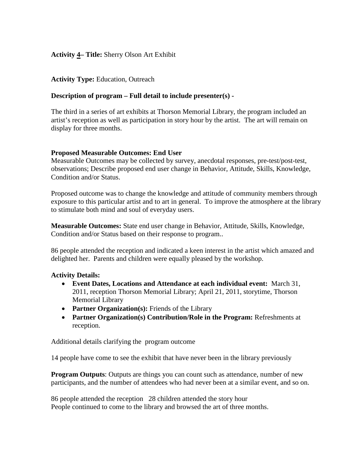## **Activity 4– Title:** Sherry Olson Art Exhibit

## **Activity Type:** Education, Outreach

## **Description of program – Full detail to include presenter(s) -**

The third in a series of art exhibits at Thorson Memorial Library, the program included an artist's reception as well as participation in story hour by the artist. The art will remain on display for three months.

### **Proposed Measurable Outcomes: End User**

Measurable Outcomes may be collected by survey, anecdotal responses, pre-test/post-test, observations; Describe proposed end user change in Behavior, Attitude, Skills, Knowledge, Condition and/or Status.

Proposed outcome was to change the knowledge and attitude of community members through exposure to this particular artist and to art in general. To improve the atmosphere at the library to stimulate both mind and soul of everyday users.

**Measurable Outcomes:** State end user change in Behavior, Attitude, Skills, Knowledge, Condition and/or Status based on their response to program..

86 people attended the reception and indicated a keen interest in the artist which amazed and delighted her. Parents and children were equally pleased by the workshop.

#### **Activity Details:**

- **Event Dates, Locations and Attendance at each individual event:** March 31, 2011, reception Thorson Memorial Library; April 21, 2011, storytime, Thorson Memorial Library
- **Partner Organization(s):** Friends of the Library
- **Partner Organization(s) Contribution/Role in the Program:** Refreshments at reception.

Additional details clarifying the program outcome

14 people have come to see the exhibit that have never been in the library previously

**Program Outputs:** Outputs are things you can count such as attendance, number of new participants, and the number of attendees who had never been at a similar event, and so on.

86 people attended the reception 28 children attended the story hour People continued to come to the library and browsed the art of three months.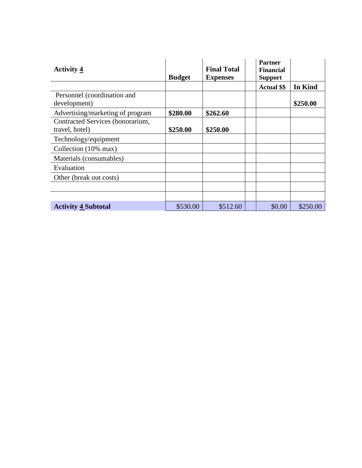| <b>Activity 4</b>                |               | <b>Final Total</b> | <b>Partner</b><br><b>Financial</b> |          |
|----------------------------------|---------------|--------------------|------------------------------------|----------|
|                                  | <b>Budget</b> | <b>Expenses</b>    | <b>Support</b>                     |          |
|                                  |               |                    | <b>Actual \$\$</b>                 | In Kind  |
| Personnel (coordination and      |               |                    |                                    |          |
| development)                     |               |                    |                                    | \$250.00 |
| Advertising/marketing of program | \$280.00      | \$262.60           |                                    |          |
| Contracted Services (honorarium, |               |                    |                                    |          |
| travel, hotel)                   | \$250.00      | \$250.00           |                                    |          |
| Technology/equipment             |               |                    |                                    |          |
| Collection (10% max)             |               |                    |                                    |          |
| Materials (consumables)          |               |                    |                                    |          |
| Evaluation                       |               |                    |                                    |          |
| Other (break out costs)          |               |                    |                                    |          |
|                                  |               |                    |                                    |          |
|                                  |               |                    |                                    |          |
| <b>Activity 4 Subtotal</b>       | \$530.00      | \$512.60           | \$0.00                             | \$250.00 |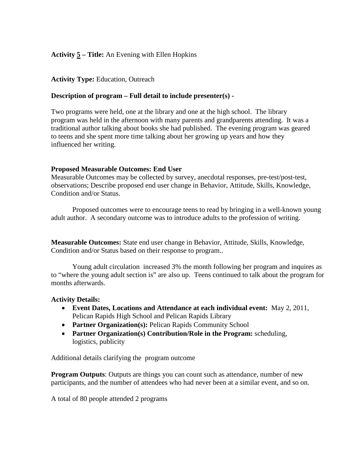# **Activity 5 – Title:** An Evening with Ellen Hopkins

### **Activity Type:** Education, Outreach

### **Description of program – Full detail to include presenter(s) -**

Two programs were held, one at the library and one at the high school. The library program was held in the afternoon with many parents and grandparents attending. It was a traditional author talking about books she had published. The evening program was geared to teens and she spent more time talking about her growing up years and how they influenced her writing.

### **Proposed Measurable Outcomes: End User**

Measurable Outcomes may be collected by survey, anecdotal responses, pre-test/post-test, observations; Describe proposed end user change in Behavior, Attitude, Skills, Knowledge, Condition and/or Status.

Proposed outcomes were to encourage teens to read by bringing in a well-known young adult author. A secondary outcome was to introduce adults to the profession of writing.

**Measurable Outcomes:** State end user change in Behavior, Attitude, Skills, Knowledge, Condition and/or Status based on their response to program..

Young adult circulation increased 3% the month following her program and inquires as to "where the young adult section is" are also up. Teens continued to talk about the program for months afterwards.

#### **Activity Details:**

- **Event Dates, Locations and Attendance at each individual event:** May 2, 2011, Pelican Rapids High School and Pelican Rapids Library
- **Partner Organization(s):** Pelican Rapids Community School
- **Partner Organization(s) Contribution/Role in the Program:** scheduling, logistics, publicity

Additional details clarifying the program outcome

**Program Outputs:** Outputs are things you can count such as attendance, number of new participants, and the number of attendees who had never been at a similar event, and so on.

A total of 80 people attended 2 programs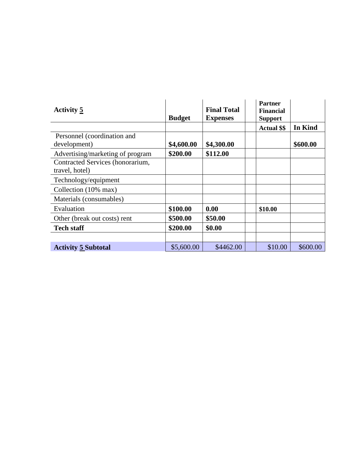| Activity 5                       | <b>Budget</b> | <b>Final Total</b><br><b>Expenses</b> | <b>Partner</b><br><b>Financial</b><br><b>Support</b> |          |
|----------------------------------|---------------|---------------------------------------|------------------------------------------------------|----------|
|                                  |               |                                       | <b>Actual \$\$</b>                                   | In Kind  |
| Personnel (coordination and      |               |                                       |                                                      |          |
| development)                     | \$4,600.00    | \$4,300.00                            |                                                      | \$600.00 |
| Advertising/marketing of program | \$200.00      | \$112.00                              |                                                      |          |
| Contracted Services (honorarium, |               |                                       |                                                      |          |
| travel, hotel)                   |               |                                       |                                                      |          |
| Technology/equipment             |               |                                       |                                                      |          |
| Collection (10% max)             |               |                                       |                                                      |          |
| Materials (consumables)          |               |                                       |                                                      |          |
| Evaluation                       | \$100.00      | 0.00                                  | \$10.00                                              |          |
| Other (break out costs) rent     | \$500.00      | \$50.00                               |                                                      |          |
| <b>Tech staff</b>                | \$200.00      | \$0.00                                |                                                      |          |
|                                  |               |                                       |                                                      |          |
| <b>Activity 5 Subtotal</b>       | \$5,600.00    | \$4462.00                             | \$10.00                                              | \$600.00 |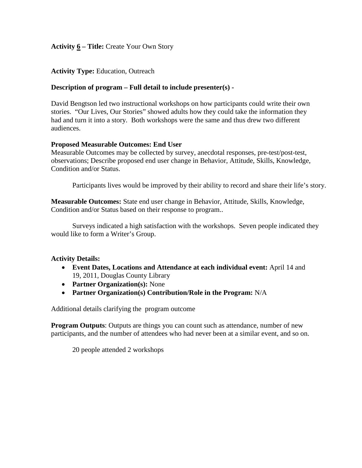## **Activity 6 – Title:** Create Your Own Story

### **Activity Type:** Education, Outreach

### **Description of program – Full detail to include presenter(s) -**

David Bengtson led two instructional workshops on how participants could write their own stories. "Our Lives, Our Stories" showed adults how they could take the information they had and turn it into a story. Both workshops were the same and thus drew two different audiences.

### **Proposed Measurable Outcomes: End User**

Measurable Outcomes may be collected by survey, anecdotal responses, pre-test/post-test, observations; Describe proposed end user change in Behavior, Attitude, Skills, Knowledge, Condition and/or Status.

Participants lives would be improved by their ability to record and share their life's story.

**Measurable Outcomes:** State end user change in Behavior, Attitude, Skills, Knowledge, Condition and/or Status based on their response to program..

Surveys indicated a high satisfaction with the workshops. Seven people indicated they would like to form a Writer's Group.

### **Activity Details:**

- **Event Dates, Locations and Attendance at each individual event:** April 14 and 19, 2011, Douglas County Library
- **Partner Organization(s):** None
- **Partner Organization(s) Contribution/Role in the Program:** N/A

Additional details clarifying the program outcome

**Program Outputs:** Outputs are things you can count such as attendance, number of new participants, and the number of attendees who had never been at a similar event, and so on.

20 people attended 2 workshops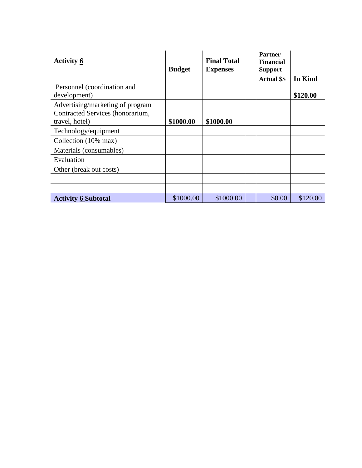| <b>Activity 6</b>                                  | <b>Budget</b> | <b>Final Total</b><br><b>Expenses</b> | <b>Partner</b><br><b>Financial</b><br><b>Support</b> |          |
|----------------------------------------------------|---------------|---------------------------------------|------------------------------------------------------|----------|
|                                                    |               |                                       | <b>Actual \$\$</b>                                   | In Kind  |
| Personnel (coordination and<br>development)        |               |                                       |                                                      | \$120.00 |
| Advertising/marketing of program                   |               |                                       |                                                      |          |
| Contracted Services (honorarium,<br>travel, hotel) | \$1000.00     | \$1000.00                             |                                                      |          |
| Technology/equipment                               |               |                                       |                                                      |          |
| Collection (10% max)                               |               |                                       |                                                      |          |
| Materials (consumables)                            |               |                                       |                                                      |          |
| Evaluation                                         |               |                                       |                                                      |          |
| Other (break out costs)                            |               |                                       |                                                      |          |
|                                                    |               |                                       |                                                      |          |
|                                                    |               |                                       |                                                      |          |
| <b>Activity 6 Subtotal</b>                         | \$1000.00     | \$1000.00                             | \$0.00                                               | \$120.00 |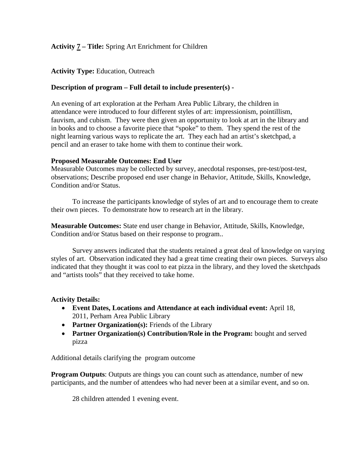# **Activity 7 – Title:** Spring Art Enrichment for Children

## **Activity Type:** Education, Outreach

## **Description of program – Full detail to include presenter(s) -**

An evening of art exploration at the Perham Area Public Library, the children in attendance were introduced to four different styles of art: impressionism, pointillism, fauvism, and cubism. They were then given an opportunity to look at art in the library and in books and to choose a favorite piece that "spoke" to them. They spend the rest of the night learning various ways to replicate the art. They each had an artist's sketchpad, a pencil and an eraser to take home with them to continue their work.

### **Proposed Measurable Outcomes: End User**

Measurable Outcomes may be collected by survey, anecdotal responses, pre-test/post-test, observations; Describe proposed end user change in Behavior, Attitude, Skills, Knowledge, Condition and/or Status.

To increase the participants knowledge of styles of art and to encourage them to create their own pieces. To demonstrate how to research art in the library.

**Measurable Outcomes:** State end user change in Behavior, Attitude, Skills, Knowledge, Condition and/or Status based on their response to program..

Survey answers indicated that the students retained a great deal of knowledge on varying styles of art. Observation indicated they had a great time creating their own pieces. Surveys also indicated that they thought it was cool to eat pizza in the library, and they loved the sketchpads and "artists tools" that they received to take home.

### **Activity Details:**

- **Event Dates, Locations and Attendance at each individual event:** April 18, 2011, Perham Area Public Library
- **Partner Organization(s):** Friends of the Library
- **Partner Organization(s) Contribution/Role in the Program:** bought and served pizza

Additional details clarifying the program outcome

**Program Outputs:** Outputs are things you can count such as attendance, number of new participants, and the number of attendees who had never been at a similar event, and so on.

28 children attended 1 evening event.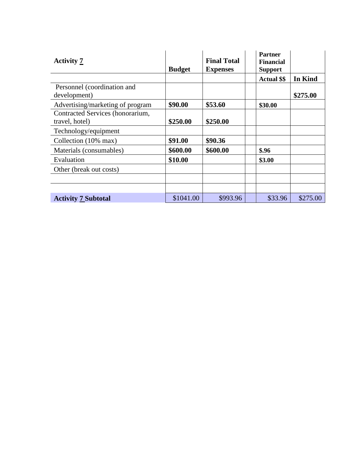| <b>Activity 7</b>                                  | <b>Budget</b> | <b>Final Total</b><br><b>Expenses</b> | <b>Partner</b><br><b>Financial</b><br><b>Support</b> |          |
|----------------------------------------------------|---------------|---------------------------------------|------------------------------------------------------|----------|
|                                                    |               |                                       | <b>Actual \$\$</b>                                   | In Kind  |
| Personnel (coordination and<br>development)        |               |                                       |                                                      | \$275.00 |
| Advertising/marketing of program                   | \$90.00       | \$53.60                               | \$30.00                                              |          |
| Contracted Services (honorarium,<br>travel, hotel) | \$250.00      | \$250.00                              |                                                      |          |
| Technology/equipment                               |               |                                       |                                                      |          |
| Collection (10% max)                               | \$91.00       | \$90.36                               |                                                      |          |
| Materials (consumables)                            | \$600.00      | \$600.00                              | \$.96                                                |          |
| Evaluation                                         | \$10.00       |                                       | \$3.00                                               |          |
| Other (break out costs)                            |               |                                       |                                                      |          |
|                                                    |               |                                       |                                                      |          |
|                                                    |               |                                       |                                                      |          |
| <b>Activity 7 Subtotal</b>                         | \$1041.00     | \$993.96                              | \$33.96                                              | \$275.00 |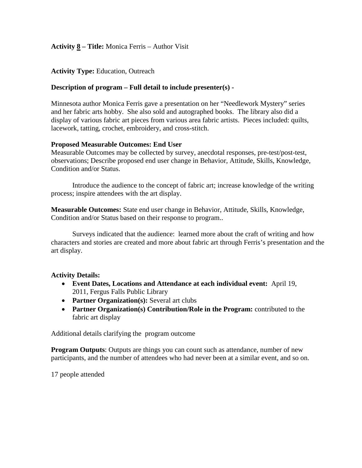## **Activity 8 – Title:** Monica Ferris – Author Visit

### **Activity Type:** Education, Outreach

### **Description of program – Full detail to include presenter(s) -**

Minnesota author Monica Ferris gave a presentation on her "Needlework Mystery" series and her fabric arts hobby. She also sold and autographed books. The library also did a display of various fabric art pieces from various area fabric artists. Pieces included: quilts, lacework, tatting, crochet, embroidery, and cross-stitch.

### **Proposed Measurable Outcomes: End User**

Measurable Outcomes may be collected by survey, anecdotal responses, pre-test/post-test, observations; Describe proposed end user change in Behavior, Attitude, Skills, Knowledge, Condition and/or Status.

Introduce the audience to the concept of fabric art; increase knowledge of the writing process; inspire attendees with the art display.

**Measurable Outcomes:** State end user change in Behavior, Attitude, Skills, Knowledge, Condition and/or Status based on their response to program..

Surveys indicated that the audience: learned more about the craft of writing and how characters and stories are created and more about fabric art through Ferris's presentation and the art display.

### **Activity Details:**

- **Event Dates, Locations and Attendance at each individual event:** April 19, 2011, Fergus Falls Public Library
- **Partner Organization(s):** Several art clubs
- **Partner Organization(s) Contribution/Role in the Program:** contributed to the fabric art display

Additional details clarifying the program outcome

**Program Outputs**: Outputs are things you can count such as attendance, number of new participants, and the number of attendees who had never been at a similar event, and so on.

17 people attended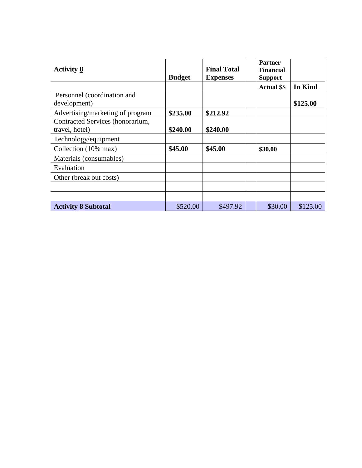| <b>Activity 8</b>                |               | <b>Final Total</b> | <b>Partner</b><br><b>Financial</b> |          |
|----------------------------------|---------------|--------------------|------------------------------------|----------|
|                                  | <b>Budget</b> | <b>Expenses</b>    | <b>Support</b>                     |          |
|                                  |               |                    | <b>Actual \$\$</b>                 | In Kind  |
| Personnel (coordination and      |               |                    |                                    |          |
| development)                     |               |                    |                                    | \$125.00 |
| Advertising/marketing of program | \$235.00      | \$212.92           |                                    |          |
| Contracted Services (honorarium, |               |                    |                                    |          |
| travel, hotel)                   | \$240.00      | \$240.00           |                                    |          |
| Technology/equipment             |               |                    |                                    |          |
| Collection (10% max)             | \$45.00       | \$45.00            | \$30.00                            |          |
| Materials (consumables)          |               |                    |                                    |          |
| Evaluation                       |               |                    |                                    |          |
| Other (break out costs)          |               |                    |                                    |          |
|                                  |               |                    |                                    |          |
|                                  |               |                    |                                    |          |
| <b>Activity 8 Subtotal</b>       | \$520.00      | \$497.92           | \$30.00                            | \$125.00 |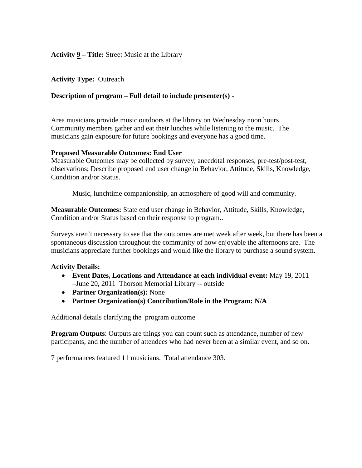## **Activity 9 – Title:** Street Music at the Library

### **Activity Type:** Outreach

## **Description of program – Full detail to include presenter(s) -**

Area musicians provide music outdoors at the library on Wednesday noon hours. Community members gather and eat their lunches while listening to the music. The musicians gain exposure for future bookings and everyone has a good time.

#### **Proposed Measurable Outcomes: End User**

Measurable Outcomes may be collected by survey, anecdotal responses, pre-test/post-test, observations; Describe proposed end user change in Behavior, Attitude, Skills, Knowledge, Condition and/or Status.

Music, lunchtime companionship, an atmosphere of good will and community.

**Measurable Outcomes:** State end user change in Behavior, Attitude, Skills, Knowledge, Condition and/or Status based on their response to program..

Surveys aren't necessary to see that the outcomes are met week after week, but there has been a spontaneous discussion throughout the community of how enjoyable the afternoons are. The musicians appreciate further bookings and would like the library to purchase a sound system.

### **Activity Details:**

- **Event Dates, Locations and Attendance at each individual event:** May 19, 2011 –June 20, 2011 Thorson Memorial Library -- outside
- **Partner Organization(s):** None
- **Partner Organization(s) Contribution/Role in the Program: N/A**

Additional details clarifying the program outcome

**Program Outputs:** Outputs are things you can count such as attendance, number of new participants, and the number of attendees who had never been at a similar event, and so on.

7 performances featured 11 musicians. Total attendance 303.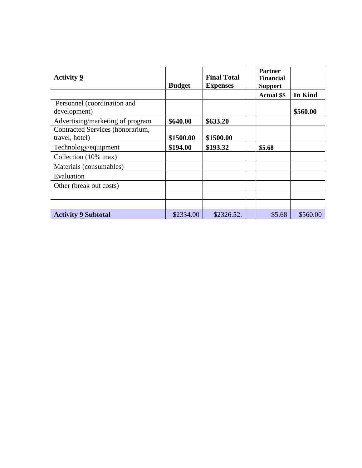| <b>Activity 9</b>                | <b>Budget</b> | <b>Final Total</b><br><b>Expenses</b> | <b>Partner</b><br><b>Financial</b><br><b>Support</b> |          |
|----------------------------------|---------------|---------------------------------------|------------------------------------------------------|----------|
|                                  |               |                                       | <b>Actual \$\$</b>                                   | In Kind  |
| Personnel (coordination and      |               |                                       |                                                      |          |
| development)                     |               |                                       |                                                      | \$560.00 |
| Advertising/marketing of program | \$640.00      | \$633.20                              |                                                      |          |
| Contracted Services (honorarium, |               |                                       |                                                      |          |
| travel, hotel)                   | \$1500.00     | \$1500.00                             |                                                      |          |
| Technology/equipment             | \$194.00      | \$193.32                              | \$5.68                                               |          |
| Collection (10% max)             |               |                                       |                                                      |          |
| Materials (consumables)          |               |                                       |                                                      |          |
| Evaluation                       |               |                                       |                                                      |          |
| Other (break out costs)          |               |                                       |                                                      |          |
|                                  |               |                                       |                                                      |          |
|                                  |               |                                       |                                                      |          |
| <b>Activity 9 Subtotal</b>       | \$2334.00     | \$2326.52.                            | \$5.68                                               | \$560.00 |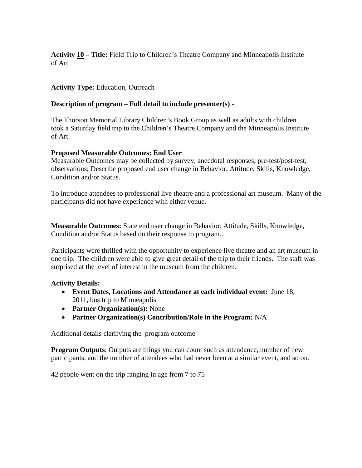**Activity 10 – Title:** Field Trip to Children's Theatre Company and Minneapolis Institute of Art

## **Activity Type:** Education, Outreach

### **Description of program – Full detail to include presenter(s) -**

The Thorson Memorial Library Children's Book Group as well as adults with children took a Saturday field trip to the Children's Theatre Company and the Minneapolis Institute of Art.

### **Proposed Measurable Outcomes: End User**

Measurable Outcomes may be collected by survey, anecdotal responses, pre-test/post-test, observations; Describe proposed end user change in Behavior, Attitude, Skills, Knowledge, Condition and/or Status.

To introduce attendees to professional live theatre and a professional art museum. Many of the participants did not have experience with either venue.

**Measurable Outcomes:** State end user change in Behavior, Attitude, Skills, Knowledge, Condition and/or Status based on their response to program..

Participants were thrilled with the opportunity to experience live theatre and an art museum in one trip. The children were able to give great detail of the trip to their friends. The staff was surprised at the level of interest in the museum from the children.

### **Activity Details:**

- **Event Dates, Locations and Attendance at each individual event:** June 18, 2011, bus trip to Minneapolis
- **Partner Organization(s):** None
- **Partner Organization(s) Contribution/Role in the Program:** N/A

Additional details clarifying the program outcome

**Program Outputs**: Outputs are things you can count such as attendance, number of new participants, and the number of attendees who had never been at a similar event, and so on.

42 people went on the trip ranging in age from 7 to 75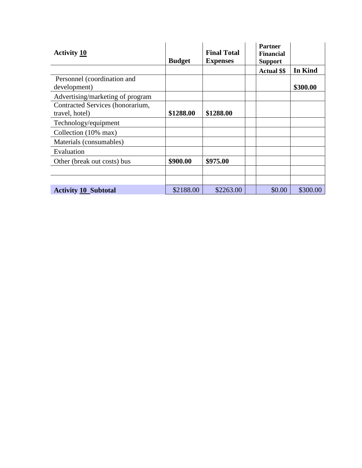| <b>Activity 10</b>               |               | <b>Final Total</b> | <b>Partner</b><br><b>Financial</b> |          |
|----------------------------------|---------------|--------------------|------------------------------------|----------|
|                                  | <b>Budget</b> | <b>Expenses</b>    | <b>Support</b>                     |          |
|                                  |               |                    | <b>Actual \$\$</b>                 | In Kind  |
| Personnel (coordination and      |               |                    |                                    |          |
| development)                     |               |                    |                                    | \$300.00 |
| Advertising/marketing of program |               |                    |                                    |          |
| Contracted Services (honorarium, |               |                    |                                    |          |
| travel, hotel)                   | \$1288.00     | \$1288.00          |                                    |          |
| Technology/equipment             |               |                    |                                    |          |
| Collection (10% max)             |               |                    |                                    |          |
| Materials (consumables)          |               |                    |                                    |          |
| Evaluation                       |               |                    |                                    |          |
| Other (break out costs) bus      | \$900.00      | \$975.00           |                                    |          |
|                                  |               |                    |                                    |          |
|                                  |               |                    |                                    |          |
| <b>Activity 10 Subtotal</b>      | \$2188.00     | \$2263.00          | \$0.00                             | \$300.00 |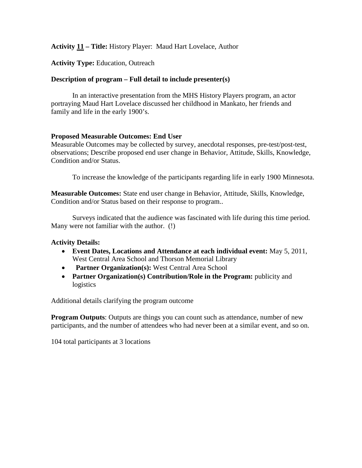**Activity 11 – Title:** History Player: Maud Hart Lovelace, Author

**Activity Type:** Education, Outreach

### **Description of program – Full detail to include presenter(s)**

In an interactive presentation from the MHS History Players program, an actor portraying Maud Hart Lovelace discussed her childhood in Mankato, her friends and family and life in the early 1900's.

### **Proposed Measurable Outcomes: End User**

Measurable Outcomes may be collected by survey, anecdotal responses, pre-test/post-test, observations; Describe proposed end user change in Behavior, Attitude, Skills, Knowledge, Condition and/or Status.

To increase the knowledge of the participants regarding life in early 1900 Minnesota.

**Measurable Outcomes:** State end user change in Behavior, Attitude, Skills, Knowledge, Condition and/or Status based on their response to program..

Surveys indicated that the audience was fascinated with life during this time period. Many were not familiar with the author. (!)

### **Activity Details:**

- **Event Dates, Locations and Attendance at each individual event:** May 5, 2011, West Central Area School and Thorson Memorial Library
- Partner Organization(s): West Central Area School
- **Partner Organization(s) Contribution/Role in the Program:** publicity and logistics

Additional details clarifying the program outcome

**Program Outputs**: Outputs are things you can count such as attendance, number of new participants, and the number of attendees who had never been at a similar event, and so on.

104 total participants at 3 locations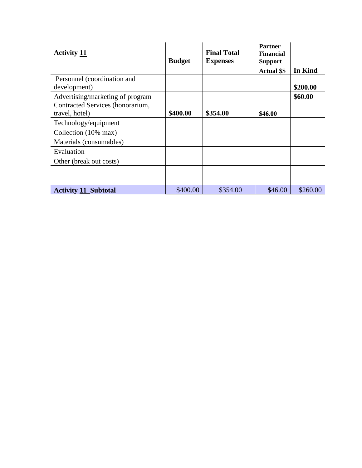| <b>Activity 11</b>               |               | <b>Final Total</b> | <b>Partner</b><br><b>Financial</b> |          |
|----------------------------------|---------------|--------------------|------------------------------------|----------|
|                                  | <b>Budget</b> | <b>Expenses</b>    | <b>Support</b>                     |          |
|                                  |               |                    | <b>Actual \$\$</b>                 | In Kind  |
| Personnel (coordination and      |               |                    |                                    |          |
| development)                     |               |                    |                                    | \$200.00 |
| Advertising/marketing of program |               |                    |                                    | \$60.00  |
| Contracted Services (honorarium, |               |                    |                                    |          |
| travel, hotel)                   | \$400.00      | \$354.00           | \$46.00                            |          |
| Technology/equipment             |               |                    |                                    |          |
| Collection (10% max)             |               |                    |                                    |          |
| Materials (consumables)          |               |                    |                                    |          |
| Evaluation                       |               |                    |                                    |          |
| Other (break out costs)          |               |                    |                                    |          |
|                                  |               |                    |                                    |          |
|                                  |               |                    |                                    |          |
| <b>Activity 11 Subtotal</b>      | \$400.00      | \$354.00           | \$46.00                            | \$260.00 |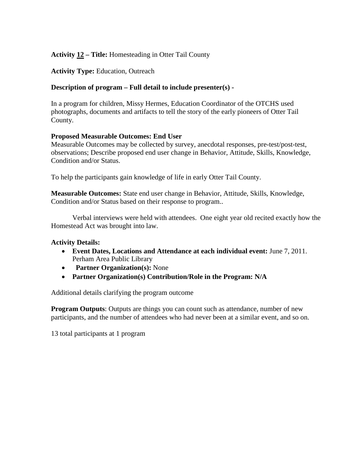## **Activity 12 – Title:** Homesteading in Otter Tail County

## **Activity Type:** Education, Outreach

## **Description of program – Full detail to include presenter(s) -**

In a program for children, Missy Hermes, Education Coordinator of the OTCHS used photographs, documents and artifacts to tell the story of the early pioneers of Otter Tail County.

### **Proposed Measurable Outcomes: End User**

Measurable Outcomes may be collected by survey, anecdotal responses, pre-test/post-test, observations; Describe proposed end user change in Behavior, Attitude, Skills, Knowledge, Condition and/or Status.

To help the participants gain knowledge of life in early Otter Tail County.

**Measurable Outcomes:** State end user change in Behavior, Attitude, Skills, Knowledge, Condition and/or Status based on their response to program..

Verbal interviews were held with attendees. One eight year old recited exactly how the Homestead Act was brought into law.

## **Activity Details:**

- **Event Dates, Locations and Attendance at each individual event:** June 7, 2011. Perham Area Public Library
- • **Partner Organization(s):** None
- **Partner Organization(s) Contribution/Role in the Program: N/A**

Additional details clarifying the program outcome

**Program Outputs:** Outputs are things you can count such as attendance, number of new participants, and the number of attendees who had never been at a similar event, and so on.

13 total participants at 1 program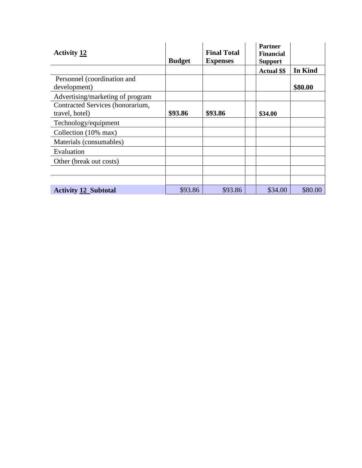| <b>Activity 12</b>               |               | <b>Final Total</b> | <b>Partner</b><br><b>Financial</b> |         |
|----------------------------------|---------------|--------------------|------------------------------------|---------|
|                                  | <b>Budget</b> | <b>Expenses</b>    | <b>Support</b>                     |         |
|                                  |               |                    | <b>Actual \$\$</b>                 | In Kind |
| Personnel (coordination and      |               |                    |                                    |         |
| development)                     |               |                    |                                    | \$80.00 |
| Advertising/marketing of program |               |                    |                                    |         |
| Contracted Services (honorarium, |               |                    |                                    |         |
| travel, hotel)                   | \$93.86       | \$93.86            | \$34.00                            |         |
| Technology/equipment             |               |                    |                                    |         |
| Collection (10% max)             |               |                    |                                    |         |
| Materials (consumables)          |               |                    |                                    |         |
| Evaluation                       |               |                    |                                    |         |
| Other (break out costs)          |               |                    |                                    |         |
|                                  |               |                    |                                    |         |
|                                  |               |                    |                                    |         |
| <b>Activity 12 Subtotal</b>      | \$93.86       | \$93.86            | \$34.00                            | \$80.00 |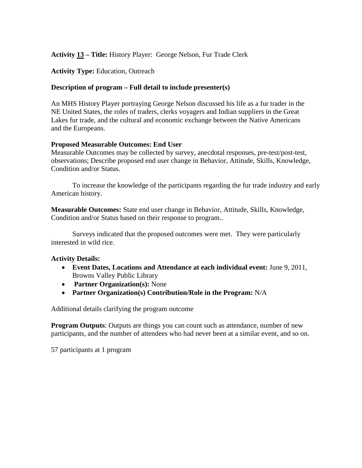## **Activity 13 – Title:** History Player: George Nelson, Fur Trade Clerk

### **Activity Type:** Education, Outreach

## **Description of program – Full detail to include presenter(s)**

An MHS History Player portraying George Nelson discussed his life as a fur trader in the NE United States, the roles of traders, clerks voyagers and Indian suppliers in the Great Lakes fur trade, and the cultural and economic exchange between the Native Americans and the Europeans.

### **Proposed Measurable Outcomes: End User**

Measurable Outcomes may be collected by survey, anecdotal responses, pre-test/post-test, observations; Describe proposed end user change in Behavior, Attitude, Skills, Knowledge, Condition and/or Status.

To increase the knowledge of the participants regarding the fur trade industry and early American history.

**Measurable Outcomes:** State end user change in Behavior, Attitude, Skills, Knowledge, Condition and/or Status based on their response to program..

Surveys indicated that the proposed outcomes were met. They were particularly interested in wild rice.

### **Activity Details:**

- **Event Dates, Locations and Attendance at each individual event:** June 9, 2011, Browns Valley Public Library
- **Partner Organization(s):** None
- **Partner Organization(s) Contribution/Role in the Program:** N/A

Additional details clarifying the program outcome

**Program Outputs:** Outputs are things you can count such as attendance, number of new participants, and the number of attendees who had never been at a similar event, and so on.

57 participants at 1 program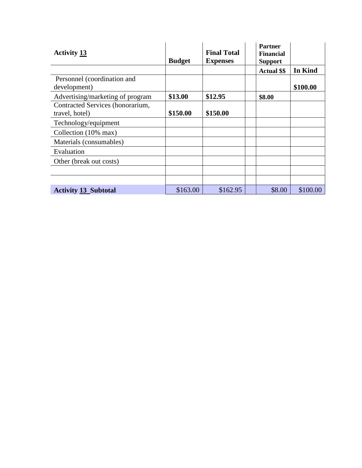| <b>Activity 13</b>                                 | <b>Budget</b> | <b>Final Total</b><br><b>Expenses</b> | <b>Partner</b><br><b>Financial</b><br><b>Support</b> |          |
|----------------------------------------------------|---------------|---------------------------------------|------------------------------------------------------|----------|
|                                                    |               |                                       | <b>Actual \$\$</b>                                   | In Kind  |
| Personnel (coordination and<br>development)        |               |                                       |                                                      | \$100.00 |
| Advertising/marketing of program                   | \$13.00       | \$12.95                               | \$8.00                                               |          |
| Contracted Services (honorarium,<br>travel, hotel) | \$150.00      | \$150.00                              |                                                      |          |
| Technology/equipment                               |               |                                       |                                                      |          |
| Collection (10% max)                               |               |                                       |                                                      |          |
| Materials (consumables)                            |               |                                       |                                                      |          |
| Evaluation                                         |               |                                       |                                                      |          |
| Other (break out costs)                            |               |                                       |                                                      |          |
|                                                    |               |                                       |                                                      |          |
|                                                    |               |                                       |                                                      |          |
| <b>Activity 13 Subtotal</b>                        | \$163.00      | \$162.95                              | \$8.00                                               | \$100.00 |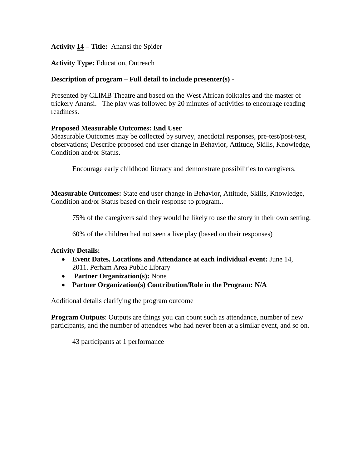## **Activity 14 – Title:** Anansi the Spider

**Activity Type:** Education, Outreach

## **Description of program – Full detail to include presenter(s) -**

Presented by CLIMB Theatre and based on the West African folktales and the master of trickery Anansi. The play was followed by 20 minutes of activities to encourage reading readiness.

## **Proposed Measurable Outcomes: End User**

Measurable Outcomes may be collected by survey, anecdotal responses, pre-test/post-test, observations; Describe proposed end user change in Behavior, Attitude, Skills, Knowledge, Condition and/or Status.

Encourage early childhood literacy and demonstrate possibilities to caregivers.

**Measurable Outcomes:** State end user change in Behavior, Attitude, Skills, Knowledge, Condition and/or Status based on their response to program..

75% of the caregivers said they would be likely to use the story in their own setting.

60% of the children had not seen a live play (based on their responses)

## **Activity Details:**

- **Event Dates, Locations and Attendance at each individual event:** June 14, 2011. Perham Area Public Library
- **Partner Organization(s):** None
- **Partner Organization(s) Contribution/Role in the Program: N/A**

Additional details clarifying the program outcome

**Program Outputs**: Outputs are things you can count such as attendance, number of new participants, and the number of attendees who had never been at a similar event, and so on.

43 participants at 1 performance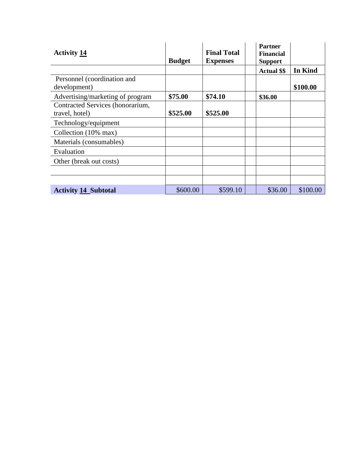| <b>Activity 14</b>                                 | <b>Budget</b> | <b>Final Total</b><br><b>Expenses</b> | <b>Partner</b><br><b>Financial</b><br><b>Support</b> |          |
|----------------------------------------------------|---------------|---------------------------------------|------------------------------------------------------|----------|
|                                                    |               |                                       | <b>Actual \$\$</b>                                   | In Kind  |
| Personnel (coordination and<br>development)        |               |                                       |                                                      | \$100.00 |
| Advertising/marketing of program                   | \$75.00       | \$74.10                               | \$36.00                                              |          |
| Contracted Services (honorarium,<br>travel, hotel) | \$525.00      | \$525.00                              |                                                      |          |
| Technology/equipment                               |               |                                       |                                                      |          |
| Collection (10% max)                               |               |                                       |                                                      |          |
| Materials (consumables)                            |               |                                       |                                                      |          |
| Evaluation                                         |               |                                       |                                                      |          |
| Other (break out costs)                            |               |                                       |                                                      |          |
|                                                    |               |                                       |                                                      |          |
|                                                    |               |                                       |                                                      |          |
| <b>Activity 14 Subtotal</b>                        | \$600.00      | \$599.10                              | \$36.00                                              | \$100.00 |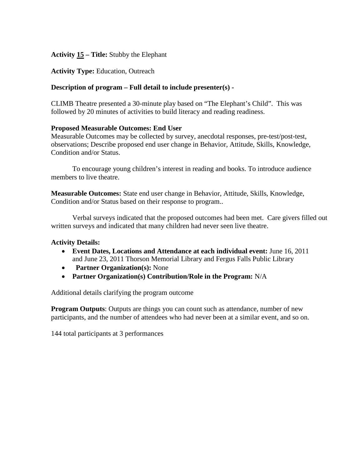## **Activity 15 – Title:** Stubby the Elephant

## **Activity Type:** Education, Outreach

## **Description of program – Full detail to include presenter(s) -**

CLIMB Theatre presented a 30-minute play based on "The Elephant's Child". This was followed by 20 minutes of activities to build literacy and reading readiness.

### **Proposed Measurable Outcomes: End User**

Measurable Outcomes may be collected by survey, anecdotal responses, pre-test/post-test, observations; Describe proposed end user change in Behavior, Attitude, Skills, Knowledge, Condition and/or Status.

To encourage young children's interest in reading and books. To introduce audience members to live theatre.

**Measurable Outcomes:** State end user change in Behavior, Attitude, Skills, Knowledge, Condition and/or Status based on their response to program..

Verbal surveys indicated that the proposed outcomes had been met. Care givers filled out written surveys and indicated that many children had never seen live theatre.

### **Activity Details:**

- **Event Dates, Locations and Attendance at each individual event:** June 16, 2011 and June 23, 2011 Thorson Memorial Library and Fergus Falls Public Library
- • **Partner Organization(s):** None
- **Partner Organization(s) Contribution/Role in the Program:** N/A

Additional details clarifying the program outcome

**Program Outputs:** Outputs are things you can count such as attendance, number of new participants, and the number of attendees who had never been at a similar event, and so on.

144 total participants at 3 performances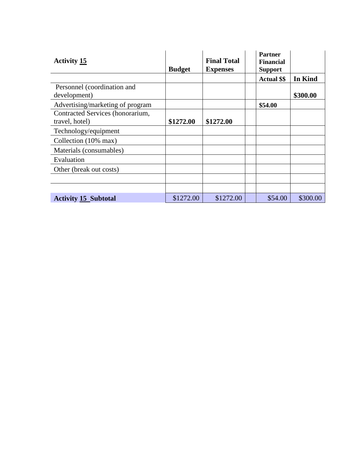| <b>Activity 15</b>                                 | <b>Budget</b> | <b>Final Total</b><br><b>Expenses</b> | <b>Partner</b><br><b>Financial</b><br><b>Support</b> |          |
|----------------------------------------------------|---------------|---------------------------------------|------------------------------------------------------|----------|
|                                                    |               |                                       | <b>Actual \$\$</b>                                   | In Kind  |
| Personnel (coordination and<br>development)        |               |                                       |                                                      | \$300.00 |
| Advertising/marketing of program                   |               |                                       | \$54.00                                              |          |
| Contracted Services (honorarium,<br>travel, hotel) | \$1272.00     | \$1272.00                             |                                                      |          |
| Technology/equipment                               |               |                                       |                                                      |          |
| Collection (10% max)                               |               |                                       |                                                      |          |
| Materials (consumables)                            |               |                                       |                                                      |          |
| Evaluation                                         |               |                                       |                                                      |          |
| Other (break out costs)                            |               |                                       |                                                      |          |
|                                                    |               |                                       |                                                      |          |
|                                                    |               |                                       |                                                      |          |
| <b>Activity 15 Subtotal</b>                        | \$1272.00     | \$1272.00                             | \$54.00                                              | \$300.00 |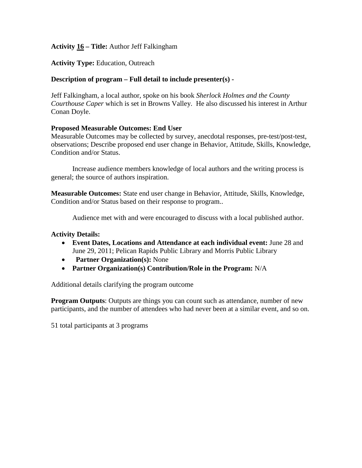## **Activity 16 – Title:** Author Jeff Falkingham

## **Activity Type:** Education, Outreach

## **Description of program – Full detail to include presenter(s) -**

Jeff Falkingham, a local author, spoke on his book *Sherlock Holmes and the County Courthouse Caper* which is set in Browns Valley. He also discussed his interest in Arthur Conan Doyle.

## **Proposed Measurable Outcomes: End User**

Measurable Outcomes may be collected by survey, anecdotal responses, pre-test/post-test, observations; Describe proposed end user change in Behavior, Attitude, Skills, Knowledge, Condition and/or Status.

Increase audience members knowledge of local authors and the writing process is general; the source of authors inspiration.

**Measurable Outcomes:** State end user change in Behavior, Attitude, Skills, Knowledge, Condition and/or Status based on their response to program..

Audience met with and were encouraged to discuss with a local published author.

## **Activity Details:**

- **Event Dates, Locations and Attendance at each individual event:** June 28 and June 29, 2011; Pelican Rapids Public Library and Morris Public Library
- **Partner Organization(s):** None
- **Partner Organization(s) Contribution/Role in the Program:** N/A

Additional details clarifying the program outcome

**Program Outputs:** Outputs are things you can count such as attendance, number of new participants, and the number of attendees who had never been at a similar event, and so on.

51 total participants at 3 programs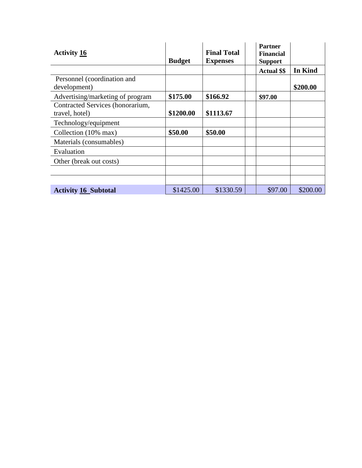| <b>Activity 16</b>               |               | <b>Final Total</b> | <b>Partner</b><br><b>Financial</b> |          |
|----------------------------------|---------------|--------------------|------------------------------------|----------|
|                                  | <b>Budget</b> | <b>Expenses</b>    | <b>Support</b>                     |          |
|                                  |               |                    | <b>Actual \$\$</b>                 | In Kind  |
| Personnel (coordination and      |               |                    |                                    |          |
| development)                     |               |                    |                                    | \$200.00 |
| Advertising/marketing of program | \$175.00      | \$166.92           | \$97.00                            |          |
| Contracted Services (honorarium, |               |                    |                                    |          |
| travel, hotel)                   | \$1200.00     | \$1113.67          |                                    |          |
| Technology/equipment             |               |                    |                                    |          |
| Collection (10% max)             | \$50.00       | \$50.00            |                                    |          |
| Materials (consumables)          |               |                    |                                    |          |
| Evaluation                       |               |                    |                                    |          |
| Other (break out costs)          |               |                    |                                    |          |
|                                  |               |                    |                                    |          |
|                                  |               |                    |                                    |          |
| <b>Activity 16 Subtotal</b>      | \$1425.00     | \$1330.59          | \$97.00                            | \$200.00 |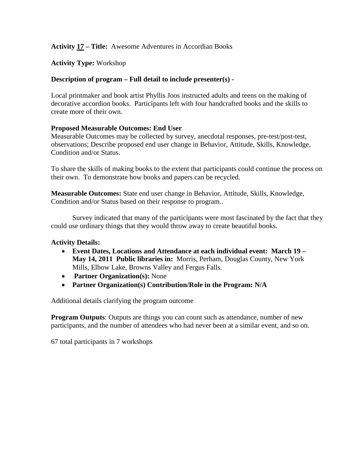**Activity 17 – Title:** Awesome Adventures in Accordian Books

**Activity Type:** Workshop

# **Description of program – Full detail to include presenter(s) -**

Local printmaker and book artist Phyllis Joos instructed adults and teens on the making of decorative accordion books. Participants left with four handcrafted books and the skills to create more of their own.

## **Proposed Measurable Outcomes: End User**

Measurable Outcomes may be collected by survey, anecdotal responses, pre-test/post-test, observations; Describe proposed end user change in Behavior, Attitude, Skills, Knowledge, Condition and/or Status.

To share the skills of making books to the extent that participants could continue the process on their own. To demonstrate how books and papers can be recycled.

**Measurable Outcomes:** State end user change in Behavior, Attitude, Skills, Knowledge, Condition and/or Status based on their response to program..

Survey indicated that many of the participants were most fascinated by the fact that they could use ordinary things that they would throw away to create beautiful books.

## **Activity Details:**

- **Event Dates, Locations and Attendance at each individual event: March 19 – May 14, 2011 Public libraries in:** Morris, Perham, Douglas County, New York Mills, Elbow Lake, Browns Valley and Fergus Falls.
- **Partner Organization(s):** None
- **Partner Organization(s) Contribution/Role in the Program: N/A**

Additional details clarifying the program outcome

**Program Outputs**: Outputs are things you can count such as attendance, number of new participants, and the number of attendees who had never been at a similar event, and so on.

67 total participants in 7 workshops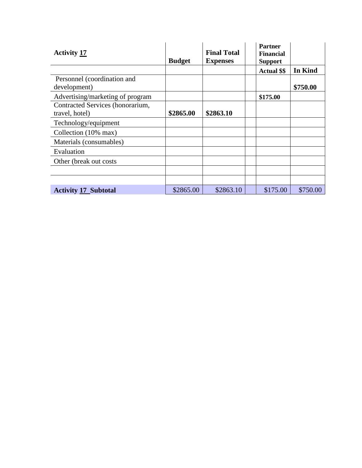| <b>Activity 17</b>               |               | <b>Final Total</b> | <b>Partner</b><br><b>Financial</b> |          |
|----------------------------------|---------------|--------------------|------------------------------------|----------|
|                                  | <b>Budget</b> | <b>Expenses</b>    | <b>Support</b>                     |          |
|                                  |               |                    | <b>Actual \$\$</b>                 | In Kind  |
| Personnel (coordination and      |               |                    |                                    |          |
| development)                     |               |                    |                                    | \$750.00 |
| Advertising/marketing of program |               |                    | \$175.00                           |          |
| Contracted Services (honorarium, |               |                    |                                    |          |
| travel, hotel)                   | \$2865.00     | \$2863.10          |                                    |          |
| Technology/equipment             |               |                    |                                    |          |
| Collection (10% max)             |               |                    |                                    |          |
| Materials (consumables)          |               |                    |                                    |          |
| Evaluation                       |               |                    |                                    |          |
| Other (break out costs)          |               |                    |                                    |          |
|                                  |               |                    |                                    |          |
|                                  |               |                    |                                    |          |
| <b>Activity 17 Subtotal</b>      | \$2865.00     | \$2863.10          | \$175.00                           | \$750.00 |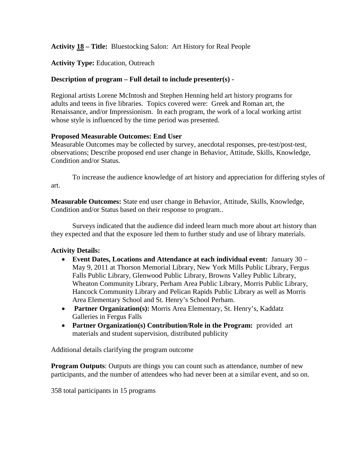**Activity 18 – Title:** Bluestocking Salon: Art History for Real People

**Activity Type:** Education, Outreach

# **Description of program – Full detail to include presenter(s) -**

Regional artists Lorene McIntosh and Stephen Henning held art history programs for adults and teens in five libraries. Topics covered were: Greek and Roman art, the Renaissance, and/or Impressionism. In each program, the work of a local working artist whose style is influenced by the time period was presented.

## **Proposed Measurable Outcomes: End User**

Measurable Outcomes may be collected by survey, anecdotal responses, pre-test/post-test, observations; Describe proposed end user change in Behavior, Attitude, Skills, Knowledge, Condition and/or Status.

To increase the audience knowledge of art history and appreciation for differing styles of art.

**Measurable Outcomes:** State end user change in Behavior, Attitude, Skills, Knowledge, Condition and/or Status based on their response to program..

Surveys indicated that the audience did indeed learn much more about art history than they expected and that the exposure led them to further study and use of library materials.

## **Activity Details:**

- **Event Dates, Locations and Attendance at each individual event:** January 30 May 9, 2011 at Thorson Memorial Library, New York Mills Public Library, Fergus Falls Public Library, Glenwood Public Library, Browns Valley Public Library, Wheaton Community Library, Perham Area Public Library, Morris Public Library, Hancock Community Library and Pelican Rapids Public Library as well as Morris Area Elementary School and St. Henry's School Perham.
- **Partner Organization(s):** Morris Area Elementary, St. Henry's, Kaddatz Galleries in Fergus Falls
- **Partner Organization(s) Contribution/Role in the Program:** provided art materials and student supervision, distributed publicity

Additional details clarifying the program outcome

**Program Outputs**: Outputs are things you can count such as attendance, number of new participants, and the number of attendees who had never been at a similar event, and so on.

358 total participants in 15 programs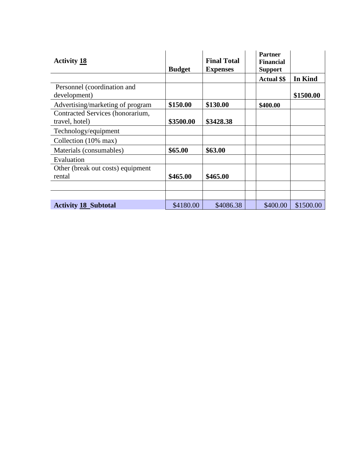| <b>Activity 18</b>                |               | <b>Final Total</b> | <b>Partner</b><br><b>Financial</b> |           |
|-----------------------------------|---------------|--------------------|------------------------------------|-----------|
|                                   | <b>Budget</b> | <b>Expenses</b>    | <b>Support</b>                     |           |
|                                   |               |                    | <b>Actual \$\$</b>                 | In Kind   |
| Personnel (coordination and       |               |                    |                                    |           |
| development)                      |               |                    |                                    | \$1500.00 |
| Advertising/marketing of program  | \$150.00      | \$130.00           | \$400.00                           |           |
| Contracted Services (honorarium,  |               |                    |                                    |           |
| travel, hotel)                    | \$3500.00     | \$3428.38          |                                    |           |
| Technology/equipment              |               |                    |                                    |           |
| Collection (10% max)              |               |                    |                                    |           |
| Materials (consumables)           | \$65.00       | \$63.00            |                                    |           |
| Evaluation                        |               |                    |                                    |           |
| Other (break out costs) equipment |               |                    |                                    |           |
| rental                            | \$465.00      | \$465.00           |                                    |           |
|                                   |               |                    |                                    |           |
|                                   |               |                    |                                    |           |
| <b>Activity 18 Subtotal</b>       | \$4180.00     | \$4086.38          | \$400.00                           | \$1500.00 |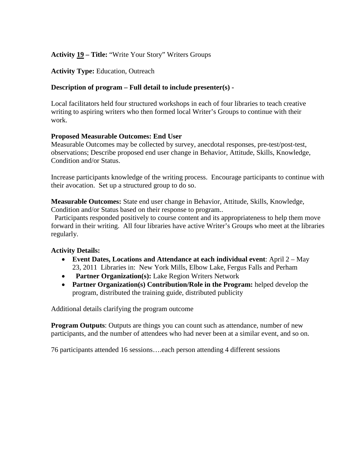# **Activity 19 – Title:** "Write Your Story" Writers Groups

#### **Activity Type:** Education, Outreach

#### **Description of program – Full detail to include presenter(s) -**

Local facilitators held four structured workshops in each of four libraries to teach creative writing to aspiring writers who then formed local Writer's Groups to continue with their work.

#### **Proposed Measurable Outcomes: End User**

Measurable Outcomes may be collected by survey, anecdotal responses, pre-test/post-test, observations; Describe proposed end user change in Behavior, Attitude, Skills, Knowledge, Condition and/or Status.

Increase participants knowledge of the writing process. Encourage participants to continue with their avocation. Set up a structured group to do so.

**Measurable Outcomes:** State end user change in Behavior, Attitude, Skills, Knowledge, Condition and/or Status based on their response to program..

Participants responded positively to course content and its appropriateness to help them move forward in their writing. All four libraries have active Writer's Groups who meet at the libraries regularly.

#### **Activity Details:**

- **Event Dates, Locations and Attendance at each individual event**: April 2 May 23, 2011 Libraries in: New York Mills, Elbow Lake, Fergus Falls and Perham
- Partner Organization(s): Lake Region Writers Network
- **Partner Organization(s) Contribution/Role in the Program:** helped develop the program, distributed the training guide, distributed publicity

Additional details clarifying the program outcome

**Program Outputs:** Outputs are things you can count such as attendance, number of new participants, and the number of attendees who had never been at a similar event, and so on.

76 participants attended 16 sessions….each person attending 4 different sessions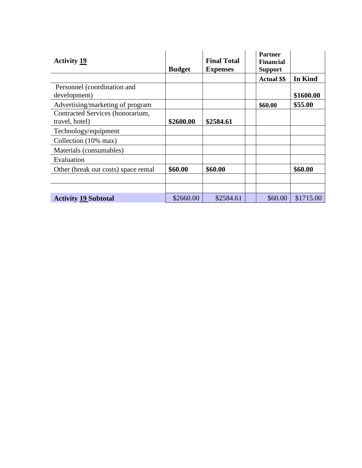| <b>Activity 19</b>                                 | <b>Budget</b> | <b>Final Total</b><br><b>Expenses</b> | <b>Partner</b><br><b>Financial</b><br><b>Support</b> |           |
|----------------------------------------------------|---------------|---------------------------------------|------------------------------------------------------|-----------|
|                                                    |               |                                       | <b>Actual \$\$</b>                                   | In Kind   |
| Personnel (coordination and<br>development)        |               |                                       |                                                      | \$1600.00 |
| Advertising/marketing of program                   |               |                                       | \$60.00                                              | \$55.00   |
| Contracted Services (honorarium,<br>travel, hotel) | \$2600.00     | \$2584.61                             |                                                      |           |
| Technology/equipment                               |               |                                       |                                                      |           |
| Collection (10% max)                               |               |                                       |                                                      |           |
| Materials (consumables)                            |               |                                       |                                                      |           |
| Evaluation                                         |               |                                       |                                                      |           |
| Other (break out costs) space rental               | \$60.00       | \$60.00                               |                                                      | \$60.00   |
|                                                    |               |                                       |                                                      |           |
|                                                    |               |                                       |                                                      |           |
| <b>Activity 19 Subtotal</b>                        | \$2660.00     | \$2584.61                             | \$60.00                                              | \$1715.00 |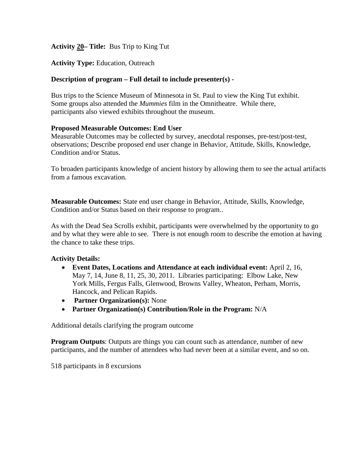### **Activity 20– Title:** Bus Trip to King Tut

#### **Activity Type:** Education, Outreach

#### **Description of program – Full detail to include presenter(s) -**

Bus trips to the Science Museum of Minnesota in St. Paul to view the King Tut exhibit. Some groups also attended the *Mummies* film in the Omnitheatre. While there, participants also viewed exhibits throughout the museum.

#### **Proposed Measurable Outcomes: End User**

Measurable Outcomes may be collected by survey, anecdotal responses, pre-test/post-test, observations; Describe proposed end user change in Behavior, Attitude, Skills, Knowledge, Condition and/or Status.

To broaden participants knowledge of ancient history by allowing them to see the actual artifacts from a famous excavation.

**Measurable Outcomes:** State end user change in Behavior, Attitude, Skills, Knowledge, Condition and/or Status based on their response to program..

As with the Dead Sea Scrolls exhibit, participants were overwhelmed by the opportunity to go and by what they were able to see. There is not enough room to describe the emotion at having the chance to take these trips.

#### **Activity Details:**

- **Event Dates, Locations and Attendance at each individual event:** April 2, 16, May 7, 14, June 8, 11, 25, 30, 2011. Libraries participating: Elbow Lake, New York Mills, Fergus Falls, Glenwood, Browns Valley, Wheaton, Perham, Morris, Hancock, and Pelican Rapids.
- **Partner Organization(s):** None
- **Partner Organization(s) Contribution/Role in the Program:** N/A

Additional details clarifying the program outcome

**Program Outputs**: Outputs are things you can count such as attendance, number of new participants, and the number of attendees who had never been at a similar event, and so on.

518 participants in 8 excursions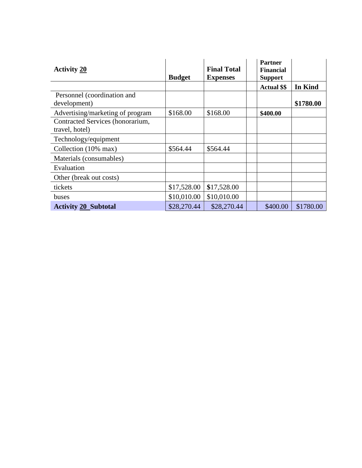| <b>Activity 20</b>                                 | <b>Budget</b> | <b>Final Total</b><br><b>Expenses</b> | Partner<br><b>Financial</b><br><b>Support</b> |           |
|----------------------------------------------------|---------------|---------------------------------------|-----------------------------------------------|-----------|
|                                                    |               |                                       | <b>Actual \$\$</b>                            | In Kind   |
| Personnel (coordination and<br>development)        |               |                                       |                                               | \$1780.00 |
| Advertising/marketing of program                   | \$168.00      | \$168.00                              | \$400.00                                      |           |
| Contracted Services (honorarium,<br>travel, hotel) |               |                                       |                                               |           |
| Technology/equipment                               |               |                                       |                                               |           |
| Collection (10% max)                               | \$564.44      | \$564.44                              |                                               |           |
| Materials (consumables)                            |               |                                       |                                               |           |
| Evaluation                                         |               |                                       |                                               |           |
| Other (break out costs)                            |               |                                       |                                               |           |
| tickets                                            | \$17,528.00   | \$17,528.00                           |                                               |           |
| buses                                              | \$10,010.00   | \$10,010.00                           |                                               |           |
| <b>Activity 20 Subtotal</b>                        | \$28,270.44   | \$28,270.44                           | \$400.00                                      | \$1780.00 |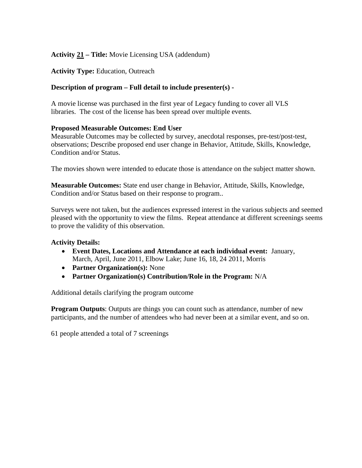# **Activity 21 – Title:** Movie Licensing USA (addendum)

### **Activity Type:** Education, Outreach

# **Description of program – Full detail to include presenter(s) -**

A movie license was purchased in the first year of Legacy funding to cover all VLS libraries. The cost of the license has been spread over multiple events.

### **Proposed Measurable Outcomes: End User**

Measurable Outcomes may be collected by survey, anecdotal responses, pre-test/post-test, observations; Describe proposed end user change in Behavior, Attitude, Skills, Knowledge, Condition and/or Status.

The movies shown were intended to educate those is attendance on the subject matter shown.

**Measurable Outcomes:** State end user change in Behavior, Attitude, Skills, Knowledge, Condition and/or Status based on their response to program..

Surveys were not taken, but the audiences expressed interest in the various subjects and seemed pleased with the opportunity to view the films. Repeat attendance at different screenings seems to prove the validity of this observation.

### **Activity Details:**

- **Event Dates, Locations and Attendance at each individual event:** January, March, April, June 2011, Elbow Lake; June 16, 18, 24 2011, Morris
- **Partner Organization(s):** None
- **Partner Organization(s) Contribution/Role in the Program:** N/A

Additional details clarifying the program outcome

**Program Outputs:** Outputs are things you can count such as attendance, number of new participants, and the number of attendees who had never been at a similar event, and so on.

61 people attended a total of 7 screenings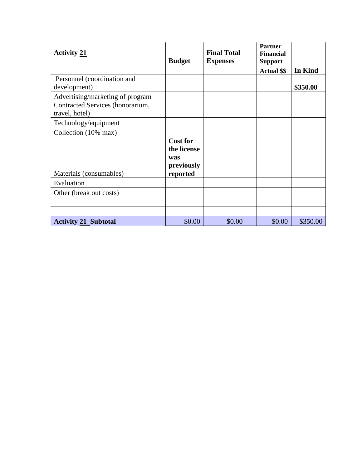| <b>Activity 21</b>                                 | <b>Budget</b>                                       | <b>Final Total</b><br><b>Expenses</b> | <b>Partner</b><br><b>Financial</b><br><b>Support</b> |          |
|----------------------------------------------------|-----------------------------------------------------|---------------------------------------|------------------------------------------------------|----------|
|                                                    |                                                     |                                       | <b>Actual \$\$</b>                                   | In Kind  |
| Personnel (coordination and<br>development)        |                                                     |                                       |                                                      | \$350.00 |
| Advertising/marketing of program                   |                                                     |                                       |                                                      |          |
| Contracted Services (honorarium,<br>travel, hotel) |                                                     |                                       |                                                      |          |
| Technology/equipment                               |                                                     |                                       |                                                      |          |
| Collection (10% max)                               |                                                     |                                       |                                                      |          |
|                                                    | <b>Cost for</b><br>the license<br>was<br>previously |                                       |                                                      |          |
| Materials (consumables)                            | reported                                            |                                       |                                                      |          |
| Evaluation                                         |                                                     |                                       |                                                      |          |
| Other (break out costs)                            |                                                     |                                       |                                                      |          |
|                                                    |                                                     |                                       |                                                      |          |
|                                                    |                                                     |                                       |                                                      |          |
| <b>Activity 21 Subtotal</b>                        | \$0.00                                              | \$0.00                                | \$0.00                                               | \$350.00 |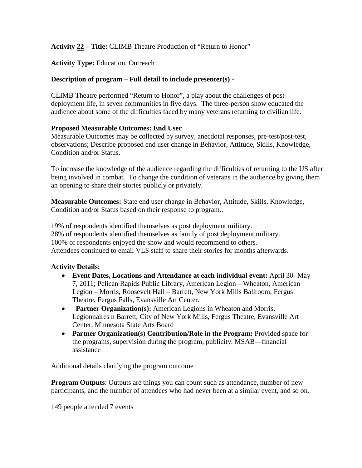# **Activity 22 – Title:** CLIMB Theatre Production of "Return to Honor"

# **Activity Type:** Education, Outreach

### **Description of program – Full detail to include presenter(s) -**

CLIMB Theatre performed "Return to Honor", a play about the challenges of postdeployment life, in seven communities in five days. The three-person show educated the audience about some of the difficulties faced by many veterans returning to civilian life.

#### **Proposed Measurable Outcomes: End User**

Measurable Outcomes may be collected by survey, anecdotal responses, pre-test/post-test, observations; Describe proposed end user change in Behavior, Attitude, Skills, Knowledge, Condition and/or Status.

To increase the knowledge of the audience regarding the difficulties of returning to the US after being involved in combat. To change the condition of veterans in the audience by giving them an opening to share their stories publicly or privately.

**Measurable Outcomes:** State end user change in Behavior, Attitude, Skills, Knowledge, Condition and/or Status based on their response to program..

19% of respondents identified themselves as post deployment military. 28% of respondents identified themselves as family of post deployment military. 100% of respondents enjoyed the show and would recommend to others. Attendees continued to email VLS staff to share their stories for months afterwards.

### **Activity Details:**

- **Event Dates, Locations and Attendance at each individual event:** April 30- May 7, 2011; Pelican Rapids Public Library, American Legion – Wheaton, American Legion – Morris, Roosevelt Hall – Barrett, New York Mills Ballroom, Fergus Theatre, Fergus Falls, Evansville Art Center.
- **Partner Organization(s):** American Legions in Wheaton and Morris, Legionnaires n Barrett, City of New York Mills, Fergus Theatre, Evansville Art Center, Minnesota State Arts Board
- **Partner Organization(s) Contribution/Role in the Program:** Provided space for the programs, supervision during the program, publicity. MSAB—financial assistance

Additional details clarifying the program outcome

**Program Outputs:** Outputs are things you can count such as attendance, number of new participants, and the number of attendees who had never been at a similar event, and so on.

149 people attended 7 events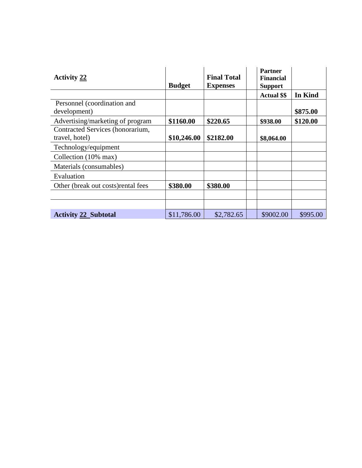| <b>Activity 22</b>                                 | <b>Budget</b> | <b>Final Total</b><br><b>Expenses</b> | <b>Partner</b><br><b>Financial</b><br><b>Support</b> |          |
|----------------------------------------------------|---------------|---------------------------------------|------------------------------------------------------|----------|
|                                                    |               |                                       | <b>Actual \$\$</b>                                   | In Kind  |
| Personnel (coordination and<br>development)        |               |                                       |                                                      | \$875.00 |
| Advertising/marketing of program                   | \$1160.00     | \$220.65                              | \$938.00                                             | \$120.00 |
| Contracted Services (honorarium,<br>travel, hotel) | \$10,246.00   | \$2182.00                             | \$8,064.00                                           |          |
| Technology/equipment                               |               |                                       |                                                      |          |
| Collection (10% max)                               |               |                                       |                                                      |          |
| Materials (consumables)                            |               |                                       |                                                      |          |
| Evaluation                                         |               |                                       |                                                      |          |
| Other (break out costs) rental fees                | \$380.00      | \$380.00                              |                                                      |          |
|                                                    |               |                                       |                                                      |          |
|                                                    |               |                                       |                                                      |          |
| <b>Activity 22 Subtotal</b>                        | \$11,786.00   | \$2,782.65                            | \$9002.00                                            | \$995.00 |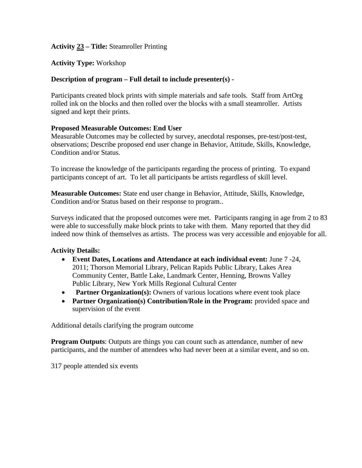# **Activity 23 – Title:** Steamroller Printing

# **Activity Type:** Workshop

### **Description of program – Full detail to include presenter(s) -**

Participants created block prints with simple materials and safe tools. Staff from ArtOrg rolled ink on the blocks and then rolled over the blocks with a small steamroller. Artists signed and kept their prints.

### **Proposed Measurable Outcomes: End User**

Measurable Outcomes may be collected by survey, anecdotal responses, pre-test/post-test, observations; Describe proposed end user change in Behavior, Attitude, Skills, Knowledge, Condition and/or Status.

To increase the knowledge of the participants regarding the process of printing. To expand participants concept of art. To let all participants be artists regardless of skill level.

**Measurable Outcomes:** State end user change in Behavior, Attitude, Skills, Knowledge, Condition and/or Status based on their response to program..

Surveys indicated that the proposed outcomes were met. Participants ranging in age from 2 to 83 were able to successfully make block prints to take with them. Many reported that they did indeed now think of themselves as artists. The process was very accessible and enjoyable for all.

### **Activity Details:**

- **Event Dates, Locations and Attendance at each individual event:** June 7 -24, 2011; Thorson Memorial Library, Pelican Rapids Public Library, Lakes Area Community Center, Battle Lake, Landmark Center, Henning, Browns Valley Public Library, New York Mills Regional Cultural Center
- Partner Organization(s): Owners of various locations where event took place
- **Partner Organization(s) Contribution/Role in the Program:** provided space and supervision of the event

Additional details clarifying the program outcome

**Program Outputs:** Outputs are things you can count such as attendance, number of new participants, and the number of attendees who had never been at a similar event, and so on.

317 people attended six events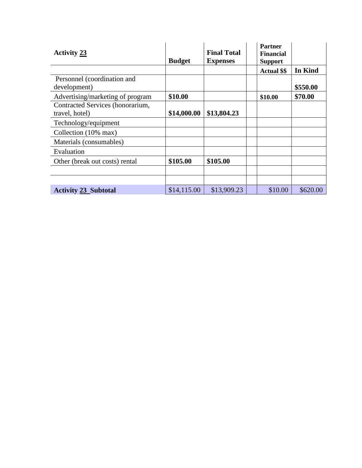| <b>Activity 23</b>               | <b>Budget</b> | <b>Final Total</b><br><b>Expenses</b> | <b>Partner</b><br><b>Financial</b><br><b>Support</b> |          |
|----------------------------------|---------------|---------------------------------------|------------------------------------------------------|----------|
|                                  |               |                                       | <b>Actual \$\$</b>                                   | In Kind  |
| Personnel (coordination and      |               |                                       |                                                      |          |
| development)                     |               |                                       |                                                      | \$550.00 |
| Advertising/marketing of program | \$10.00       |                                       | \$10.00                                              | \$70.00  |
| Contracted Services (honorarium, |               |                                       |                                                      |          |
| travel, hotel)                   | \$14,000.00   | \$13,804.23                           |                                                      |          |
| Technology/equipment             |               |                                       |                                                      |          |
| Collection (10% max)             |               |                                       |                                                      |          |
| Materials (consumables)          |               |                                       |                                                      |          |
| Evaluation                       |               |                                       |                                                      |          |
| Other (break out costs) rental   | \$105.00      | \$105.00                              |                                                      |          |
|                                  |               |                                       |                                                      |          |
|                                  |               |                                       |                                                      |          |
| <b>Activity 23 Subtotal</b>      | \$14,115.00   | \$13,909.23                           | \$10.00                                              | \$620.00 |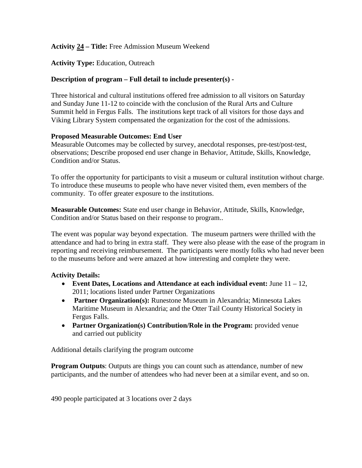# **Activity 24 – Title:** Free Admission Museum Weekend

# **Activity Type:** Education, Outreach

# **Description of program – Full detail to include presenter(s) -**

Three historical and cultural institutions offered free admission to all visitors on Saturday and Sunday June 11-12 to coincide with the conclusion of the Rural Arts and Culture Summit held in Fergus Falls. The institutions kept track of all visitors for those days and Viking Library System compensated the organization for the cost of the admissions.

#### **Proposed Measurable Outcomes: End User**

Measurable Outcomes may be collected by survey, anecdotal responses, pre-test/post-test, observations; Describe proposed end user change in Behavior, Attitude, Skills, Knowledge, Condition and/or Status.

To offer the opportunity for participants to visit a museum or cultural institution without charge. To introduce these museums to people who have never visited them, even members of the community. To offer greater exposure to the institutions.

**Measurable Outcomes:** State end user change in Behavior, Attitude, Skills, Knowledge, Condition and/or Status based on their response to program..

The event was popular way beyond expectation. The museum partners were thrilled with the attendance and had to bring in extra staff. They were also please with the ease of the program in reporting and receiving reimbursement. The participants were mostly folks who had never been to the museums before and were amazed at how interesting and complete they were.

#### **Activity Details:**

- **Event Dates, Locations and Attendance at each individual event:** June 11 12, 2011; locations listed under Partner Organizations
- **Partner Organization(s):** Runestone Museum in Alexandria; Minnesota Lakes Maritime Museum in Alexandria; and the Otter Tail County Historical Society in Fergus Falls.
- **Partner Organization(s) Contribution/Role in the Program:** provided venue and carried out publicity

Additional details clarifying the program outcome

**Program Outputs**: Outputs are things you can count such as attendance, number of new participants, and the number of attendees who had never been at a similar event, and so on.

490 people participated at 3 locations over 2 days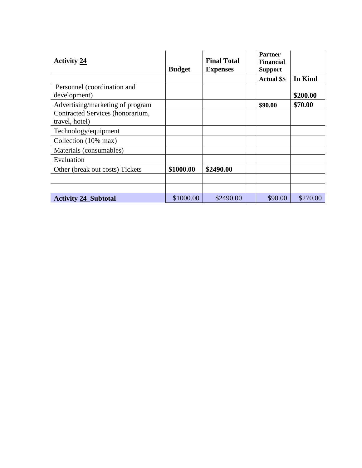| <b>Activity 24</b>                                 | <b>Budget</b> | <b>Final Total</b><br><b>Expenses</b> | <b>Partner</b><br><b>Financial</b><br><b>Support</b> |          |
|----------------------------------------------------|---------------|---------------------------------------|------------------------------------------------------|----------|
|                                                    |               |                                       | <b>Actual \$\$</b>                                   | In Kind  |
| Personnel (coordination and<br>development)        |               |                                       |                                                      | \$200.00 |
| Advertising/marketing of program                   |               |                                       | \$90.00                                              | \$70.00  |
| Contracted Services (honorarium,<br>travel, hotel) |               |                                       |                                                      |          |
| Technology/equipment                               |               |                                       |                                                      |          |
| Collection (10% max)                               |               |                                       |                                                      |          |
| Materials (consumables)                            |               |                                       |                                                      |          |
| Evaluation                                         |               |                                       |                                                      |          |
| Other (break out costs) Tickets                    | \$1000.00     | \$2490.00                             |                                                      |          |
|                                                    |               |                                       |                                                      |          |
|                                                    |               |                                       |                                                      |          |
| <b>Activity 24 Subtotal</b>                        | \$1000.00     | \$2490.00                             | \$90.00                                              | \$270.00 |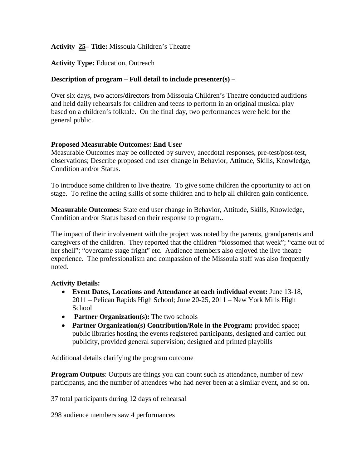### **Activity 25– Title:** Missoula Children's Theatre

#### **Activity Type:** Education, Outreach

#### **Description of program – Full detail to include presenter(s) –**

Over six days, two actors/directors from Missoula Children's Theatre conducted auditions and held daily rehearsals for children and teens to perform in an original musical play based on a children's folktale. On the final day, two performances were held for the general public.

#### **Proposed Measurable Outcomes: End User**

Measurable Outcomes may be collected by survey, anecdotal responses, pre-test/post-test, observations; Describe proposed end user change in Behavior, Attitude, Skills, Knowledge, Condition and/or Status.

To introduce some children to live theatre. To give some children the opportunity to act on stage. To refine the acting skills of some children and to help all children gain confidence.

**Measurable Outcomes:** State end user change in Behavior, Attitude, Skills, Knowledge, Condition and/or Status based on their response to program..

The impact of their involvement with the project was noted by the parents, grandparents and caregivers of the children. They reported that the children "blossomed that week"; "came out of her shell"; "overcame stage fright" etc. Audience members also enjoyed the live theatre experience. The professionalism and compassion of the Missoula staff was also frequently noted.

#### **Activity Details:**

- **Event Dates, Locations and Attendance at each individual event:** June 13-18, 2011 – Pelican Rapids High School; June 20-25, 2011 – New York Mills High **School**
- **Partner Organization(s):** The two schools
- **Partner Organization(s) Contribution/Role in the Program:** provided space**;**  public libraries hosting the events registered participants, designed and carried out publicity, provided general supervision; designed and printed playbills

Additional details clarifying the program outcome

**Program Outputs:** Outputs are things you can count such as attendance, number of new participants, and the number of attendees who had never been at a similar event, and so on.

37 total participants during 12 days of rehearsal

298 audience members saw 4 performances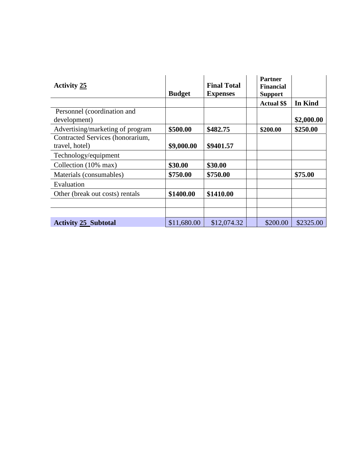| <b>Activity 25</b>               |               | <b>Final Total</b> | <b>Partner</b><br><b>Financial</b> |            |
|----------------------------------|---------------|--------------------|------------------------------------|------------|
|                                  | <b>Budget</b> | <b>Expenses</b>    | <b>Support</b>                     |            |
|                                  |               |                    | <b>Actual \$\$</b>                 | In Kind    |
| Personnel (coordination and      |               |                    |                                    |            |
| development)                     |               |                    |                                    | \$2,000.00 |
| Advertising/marketing of program | \$500.00      | \$482.75           | \$200.00                           | \$250.00   |
| Contracted Services (honorarium, |               |                    |                                    |            |
| travel, hotel)                   | \$9,000.00    | \$9401.57          |                                    |            |
| Technology/equipment             |               |                    |                                    |            |
| Collection (10% max)             | \$30.00       | \$30.00            |                                    |            |
| Materials (consumables)          | \$750.00      | \$750.00           |                                    | \$75.00    |
| Evaluation                       |               |                    |                                    |            |
| Other (break out costs) rentals  | \$1400.00     | \$1410.00          |                                    |            |
|                                  |               |                    |                                    |            |
|                                  |               |                    |                                    |            |
| <b>Activity 25 Subtotal</b>      | \$11,680.00   | \$12,074.32        | \$200.00                           | \$2325.00  |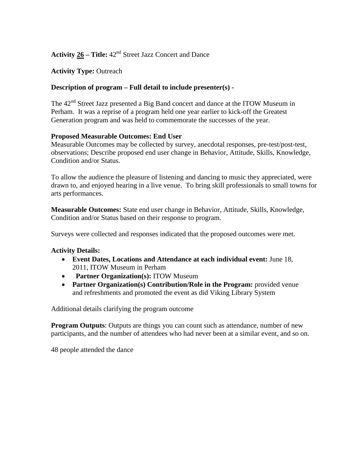# **Activity 26 – Title:** 42nd Street Jazz Concert and Dance

### **Activity Type:** Outreach

#### **Description of program – Full detail to include presenter(s) -**

The 42<sup>nd</sup> Street Jazz presented a Big Band concert and dance at the ITOW Museum in Perham. It was a reprise of a program held one year earlier to kick-off the Greatest Generation program and was held to commemorate the successes of the year.

#### **Proposed Measurable Outcomes: End User**

Measurable Outcomes may be collected by survey, anecdotal responses, pre-test/post-test, observations; Describe proposed end user change in Behavior, Attitude, Skills, Knowledge, Condition and/or Status.

To allow the audience the pleasure of listening and dancing to music they appreciated, were drawn to, and enjoyed hearing in a live venue. To bring skill professionals to small towns for arts performances.

**Measurable Outcomes:** State end user change in Behavior, Attitude, Skills, Knowledge, Condition and/or Status based on their response to program.

Surveys were collected and responses indicated that the proposed outcomes were met.

#### **Activity Details:**

- **Event Dates, Locations and Attendance at each individual event:** June 18, 2011, ITOW Museum in Perham
- **Partner Organization(s): ITOW Museum**
- **Partner Organization(s) Contribution/Role in the Program:** provided venue and refreshments and promoted the event as did Viking Library System

Additional details clarifying the program outcome

**Program Outputs:** Outputs are things you can count such as attendance, number of new participants, and the number of attendees who had never been at a similar event, and so on.

48 people attended the dance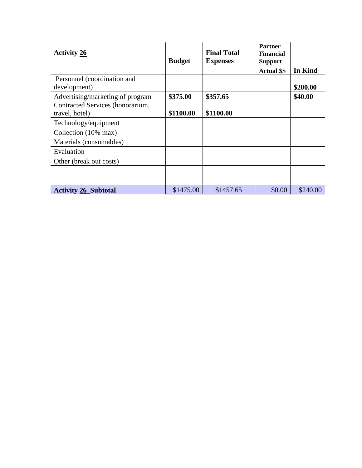| <b>Activity 26</b>                                 | <b>Budget</b> | <b>Final Total</b><br><b>Expenses</b> | <b>Partner</b><br><b>Financial</b>   |          |
|----------------------------------------------------|---------------|---------------------------------------|--------------------------------------|----------|
|                                                    |               |                                       | <b>Support</b><br><b>Actual \$\$</b> | In Kind  |
| Personnel (coordination and<br>development)        |               |                                       |                                      | \$200.00 |
| Advertising/marketing of program                   | \$375.00      | \$357.65                              |                                      | \$40.00  |
| Contracted Services (honorarium,<br>travel, hotel) | \$1100.00     | \$1100.00                             |                                      |          |
| Technology/equipment                               |               |                                       |                                      |          |
| Collection (10% max)                               |               |                                       |                                      |          |
| Materials (consumables)                            |               |                                       |                                      |          |
| Evaluation                                         |               |                                       |                                      |          |
| Other (break out costs)                            |               |                                       |                                      |          |
|                                                    |               |                                       |                                      |          |
|                                                    |               |                                       |                                      |          |
| <b>Activity 26 Subtotal</b>                        | \$1475.00     | \$1457.65                             | \$0.00                               | \$240.00 |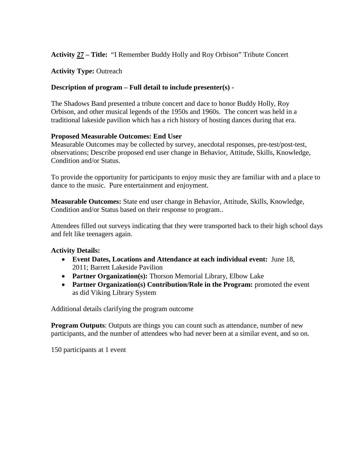# **Activity 27 – Title:** "I Remember Buddy Holly and Roy Orbison" Tribute Concert

#### **Activity Type:** Outreach

#### **Description of program – Full detail to include presenter(s) -**

The Shadows Band presented a tribute concert and dace to honor Buddy Holly, Roy Orbison, and other musical legends of the 1950s and 1960s. The concert was held in a traditional lakeside pavilion which has a rich history of hosting dances during that era.

#### **Proposed Measurable Outcomes: End User**

Measurable Outcomes may be collected by survey, anecdotal responses, pre-test/post-test, observations; Describe proposed end user change in Behavior, Attitude, Skills, Knowledge, Condition and/or Status.

To provide the opportunity for participants to enjoy music they are familiar with and a place to dance to the music. Pure entertainment and enjoyment.

**Measurable Outcomes:** State end user change in Behavior, Attitude, Skills, Knowledge, Condition and/or Status based on their response to program..

Attendees filled out surveys indicating that they were transported back to their high school days and felt like teenagers again.

#### **Activity Details:**

- **Event Dates, Locations and Attendance at each individual event:** June 18, 2011; Barrett Lakeside Pavilion
- **Partner Organization(s):** Thorson Memorial Library, Elbow Lake
- **Partner Organization(s) Contribution/Role in the Program:** promoted the event as did Viking Library System

Additional details clarifying the program outcome

**Program Outputs:** Outputs are things you can count such as attendance, number of new participants, and the number of attendees who had never been at a similar event, and so on.

150 participants at 1 event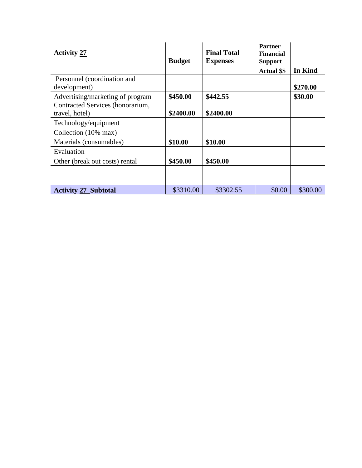| <b>Activity 27</b>               |               | <b>Final Total</b> | <b>Partner</b><br><b>Financial</b> |          |
|----------------------------------|---------------|--------------------|------------------------------------|----------|
|                                  | <b>Budget</b> | <b>Expenses</b>    | <b>Support</b>                     |          |
|                                  |               |                    | <b>Actual \$\$</b>                 | In Kind  |
| Personnel (coordination and      |               |                    |                                    |          |
| development)                     |               |                    |                                    | \$270.00 |
| Advertising/marketing of program | \$450.00      | \$442.55           |                                    | \$30.00  |
| Contracted Services (honorarium, |               |                    |                                    |          |
| travel, hotel)                   | \$2400.00     | \$2400.00          |                                    |          |
| Technology/equipment             |               |                    |                                    |          |
| Collection (10% max)             |               |                    |                                    |          |
| Materials (consumables)          | \$10.00       | \$10.00            |                                    |          |
| Evaluation                       |               |                    |                                    |          |
| Other (break out costs) rental   | \$450.00      | \$450.00           |                                    |          |
|                                  |               |                    |                                    |          |
|                                  |               |                    |                                    |          |
| <b>Activity 27 Subtotal</b>      | \$3310.00     | \$3302.55          | \$0.00                             | \$300.00 |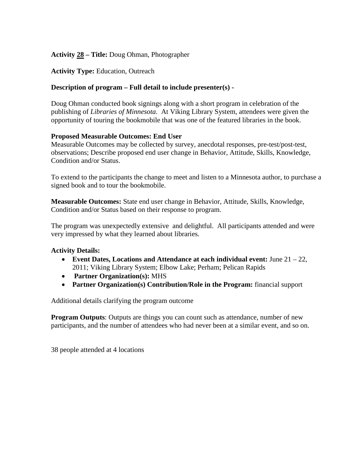# **Activity 28 – Title:** Doug Ohman, Photographer

# **Activity Type:** Education, Outreach

# **Description of program – Full detail to include presenter(s) -**

Doug Ohman conducted book signings along with a short program in celebration of the publishing of *Libraries of Minnesota.* At Viking Library System, attendees were given the opportunity of touring the bookmobile that was one of the featured libraries in the book.

#### **Proposed Measurable Outcomes: End User**

Measurable Outcomes may be collected by survey, anecdotal responses, pre-test/post-test, observations; Describe proposed end user change in Behavior, Attitude, Skills, Knowledge, Condition and/or Status.

To extend to the participants the change to meet and listen to a Minnesota author, to purchase a signed book and to tour the bookmobile.

**Measurable Outcomes:** State end user change in Behavior, Attitude, Skills, Knowledge, Condition and/or Status based on their response to program.

The program was unexpectedly extensive and delightful. All participants attended and were very impressed by what they learned about libraries.

#### **Activity Details:**

- **Event Dates, Locations and Attendance at each individual event:** June 21 22, 2011; Viking Library System; Elbow Lake; Perham; Pelican Rapids
- **Partner Organization(s):** MHS
- **Partner Organization(s) Contribution/Role in the Program:** financial support

Additional details clarifying the program outcome

**Program Outputs**: Outputs are things you can count such as attendance, number of new participants, and the number of attendees who had never been at a similar event, and so on.

38 people attended at 4 locations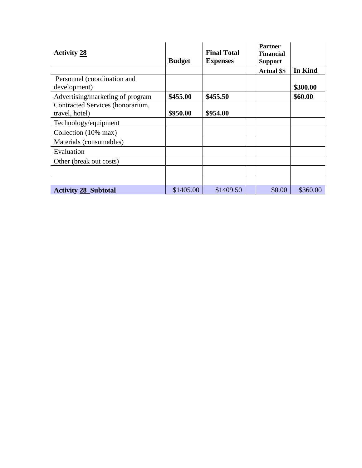| <b>Activity 28</b>               |               | <b>Final Total</b> | <b>Partner</b><br><b>Financial</b> |          |
|----------------------------------|---------------|--------------------|------------------------------------|----------|
|                                  | <b>Budget</b> | <b>Expenses</b>    | <b>Support</b>                     |          |
|                                  |               |                    | <b>Actual \$\$</b>                 | In Kind  |
| Personnel (coordination and      |               |                    |                                    |          |
| development)                     |               |                    |                                    | \$300.00 |
| Advertising/marketing of program | \$455.00      | \$455.50           |                                    | \$60.00  |
| Contracted Services (honorarium, |               |                    |                                    |          |
| travel, hotel)                   | \$950.00      | \$954.00           |                                    |          |
| Technology/equipment             |               |                    |                                    |          |
| Collection (10% max)             |               |                    |                                    |          |
| Materials (consumables)          |               |                    |                                    |          |
| Evaluation                       |               |                    |                                    |          |
| Other (break out costs)          |               |                    |                                    |          |
|                                  |               |                    |                                    |          |
|                                  |               |                    |                                    |          |
| <b>Activity 28 Subtotal</b>      | \$1405.00     | \$1409.50          | \$0.00                             | \$360.00 |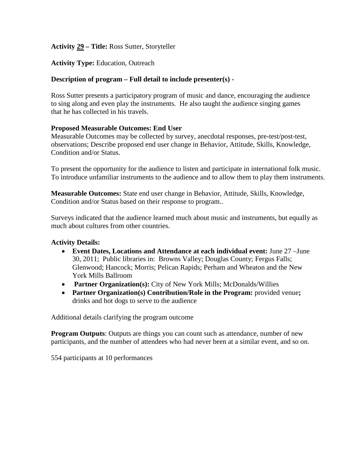### **Activity 29 – Title:** Ross Sutter, Storyteller

### **Activity Type:** Education, Outreach

### **Description of program – Full detail to include presenter(s) -**

Ross Sutter presents a participatory program of music and dance, encouraging the audience to sing along and even play the instruments. He also taught the audience singing games that he has collected in his travels.

#### **Proposed Measurable Outcomes: End User**

Measurable Outcomes may be collected by survey, anecdotal responses, pre-test/post-test, observations; Describe proposed end user change in Behavior, Attitude, Skills, Knowledge, Condition and/or Status.

To present the opportunity for the audience to listen and participate in international folk music. To introduce unfamiliar instruments to the audience and to allow them to play them instruments.

**Measurable Outcomes:** State end user change in Behavior, Attitude, Skills, Knowledge, Condition and/or Status based on their response to program..

Surveys indicated that the audience learned much about music and instruments, but equally as much about cultures from other countries.

### **Activity Details:**

- **Event Dates, Locations and Attendance at each individual event:** June 27 –June 30, 2011; Public libraries in: Browns Valley; Douglas County; Fergus Falls; Glenwood; Hancock; Morris; Pelican Rapids; Perham and Wheaton and the New York Mills Ballroom
- **Partner Organization(s):** City of New York Mills; McDonalds/Willies
- **Partner Organization(s) Contribution/Role in the Program:** provided venue**;**  drinks and hot dogs to serve to the audience

Additional details clarifying the program outcome

**Program Outputs:** Outputs are things you can count such as attendance, number of new participants, and the number of attendees who had never been at a similar event, and so on.

554 participants at 10 performances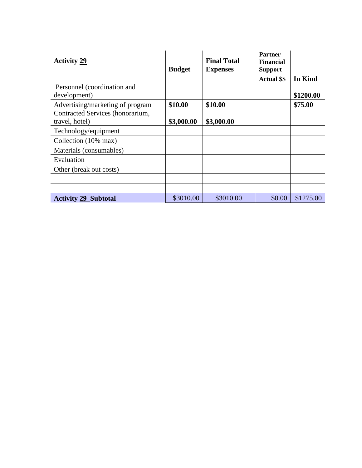| <b>Activity 29</b>                                 | <b>Budget</b> | <b>Final Total</b><br><b>Expenses</b> | <b>Partner</b><br><b>Financial</b><br><b>Support</b> |           |
|----------------------------------------------------|---------------|---------------------------------------|------------------------------------------------------|-----------|
|                                                    |               |                                       | <b>Actual \$\$</b>                                   | In Kind   |
| Personnel (coordination and<br>development)        |               |                                       |                                                      | \$1200.00 |
| Advertising/marketing of program                   | \$10.00       | \$10.00                               |                                                      | \$75.00   |
| Contracted Services (honorarium,<br>travel, hotel) | \$3,000.00    | \$3,000.00                            |                                                      |           |
| Technology/equipment                               |               |                                       |                                                      |           |
| Collection (10% max)                               |               |                                       |                                                      |           |
| Materials (consumables)                            |               |                                       |                                                      |           |
| Evaluation                                         |               |                                       |                                                      |           |
| Other (break out costs)                            |               |                                       |                                                      |           |
|                                                    |               |                                       |                                                      |           |
|                                                    |               |                                       |                                                      |           |
| <b>Activity 29 Subtotal</b>                        | \$3010.00     | \$3010.00                             | \$0.00                                               | \$1275.00 |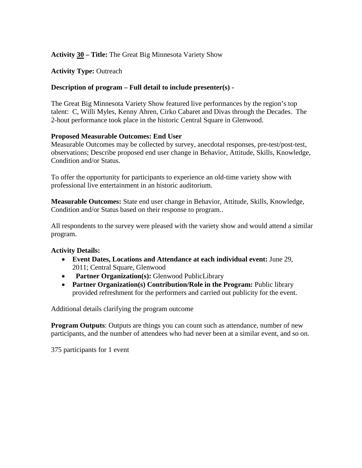# **Activity 30 – Title:** The Great Big Minnesota Variety Show

# **Activity Type:** Outreach

# **Description of program – Full detail to include presenter(s) -**

The Great Big Minnesota Variety Show featured live performances by the region's top talent: C, Willi Myles, Kenny Ahren, Cirko Cabaret and Divas through the Decades. The 2-hout performance took place in the historic Central Square in Glenwood.

#### **Proposed Measurable Outcomes: End User**

Measurable Outcomes may be collected by survey, anecdotal responses, pre-test/post-test, observations; Describe proposed end user change in Behavior, Attitude, Skills, Knowledge, Condition and/or Status.

To offer the opportunity for participants to experience an old-time variety show with professional live entertainment in an historic auditorium.

**Measurable Outcomes:** State end user change in Behavior, Attitude, Skills, Knowledge, Condition and/or Status based on their response to program..

All respondents to the survey were pleased with the variety show and would attend a similar program.

### **Activity Details:**

- **Event Dates, Locations and Attendance at each individual event:** June 29, 2011; Central Square, Glenwood
- Partner Organization(s): Glenwood PublicLibrary
- **Partner Organization(s) Contribution/Role in the Program:** Public library provided refreshment for the performers and carried out publicity for the event.

Additional details clarifying the program outcome

**Program Outputs:** Outputs are things you can count such as attendance, number of new participants, and the number of attendees who had never been at a similar event, and so on.

375 participants for 1 event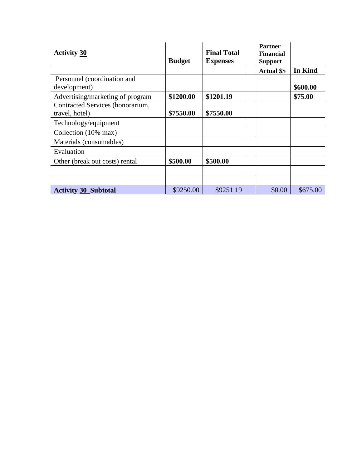| <b>Activity 30</b>               |               | <b>Final Total</b> | <b>Partner</b><br><b>Financial</b> |          |
|----------------------------------|---------------|--------------------|------------------------------------|----------|
|                                  | <b>Budget</b> | <b>Expenses</b>    | <b>Support</b>                     |          |
|                                  |               |                    | <b>Actual \$\$</b>                 | In Kind  |
| Personnel (coordination and      |               |                    |                                    |          |
| development)                     |               |                    |                                    | \$600.00 |
| Advertising/marketing of program | \$1200.00     | \$1201.19          |                                    | \$75.00  |
| Contracted Services (honorarium, |               |                    |                                    |          |
| travel, hotel)                   | \$7550.00     | \$7550.00          |                                    |          |
| Technology/equipment             |               |                    |                                    |          |
| Collection (10% max)             |               |                    |                                    |          |
| Materials (consumables)          |               |                    |                                    |          |
| Evaluation                       |               |                    |                                    |          |
| Other (break out costs) rental   | \$500.00      | \$500.00           |                                    |          |
|                                  |               |                    |                                    |          |
|                                  |               |                    |                                    |          |
| <b>Activity 30 Subtotal</b>      | \$9250.00     | \$9251.19          | \$0.00                             | \$675.00 |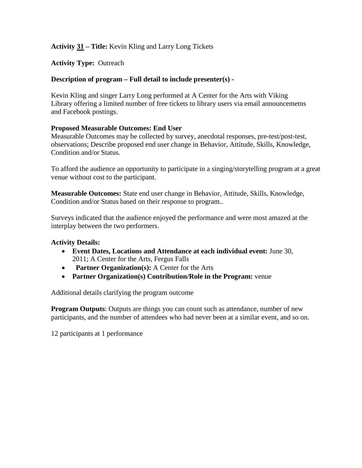# **Activity 31 – Title:** Kevin Kling and Larry Long Tickets

**Activity Type:** Outreach

# **Description of program – Full detail to include presenter(s) -**

Kevin Kling and singer Larry Long performed at A Center for the Arts with Viking Library offering a limited number of free tickets to library users via email announcemetns and Facebook postings.

### **Proposed Measurable Outcomes: End User**

Measurable Outcomes may be collected by survey, anecdotal responses, pre-test/post-test, observations; Describe proposed end user change in Behavior, Attitude, Skills, Knowledge, Condition and/or Status.

To afford the audience an opportunity to participate in a singing/storytelling program at a great venue without cost to the participant.

**Measurable Outcomes:** State end user change in Behavior, Attitude, Skills, Knowledge, Condition and/or Status based on their response to program..

Surveys indicated that the audience enjoyed the performance and were most amazed at the interplay between the two performers.

### **Activity Details:**

- **Event Dates, Locations and Attendance at each individual event:** June 30, 2011; A Center for the Arts, Fergus Falls
- **Partner Organization(s):** A Center for the Arts
- **Partner Organization(s) Contribution/Role in the Program:** venue

Additional details clarifying the program outcome

**Program Outputs:** Outputs are things you can count such as attendance, number of new participants, and the number of attendees who had never been at a similar event, and so on.

12 participants at 1 performance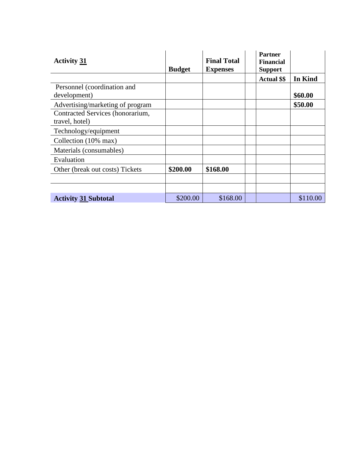| <b>Activity 31</b>                                 | <b>Budget</b> | <b>Final Total</b><br><b>Expenses</b> | <b>Partner</b><br><b>Financial</b><br><b>Support</b> |          |
|----------------------------------------------------|---------------|---------------------------------------|------------------------------------------------------|----------|
|                                                    |               |                                       | <b>Actual \$\$</b>                                   | In Kind  |
| Personnel (coordination and<br>development)        |               |                                       |                                                      | \$60.00  |
| Advertising/marketing of program                   |               |                                       |                                                      | \$50.00  |
| Contracted Services (honorarium,<br>travel, hotel) |               |                                       |                                                      |          |
| Technology/equipment                               |               |                                       |                                                      |          |
| Collection (10% max)                               |               |                                       |                                                      |          |
| Materials (consumables)                            |               |                                       |                                                      |          |
| Evaluation                                         |               |                                       |                                                      |          |
| Other (break out costs) Tickets                    | \$200.00      | \$168.00                              |                                                      |          |
|                                                    |               |                                       |                                                      |          |
|                                                    |               |                                       |                                                      |          |
| <b>Activity 31 Subtotal</b>                        | \$200.00      | \$168.00                              |                                                      | \$110.00 |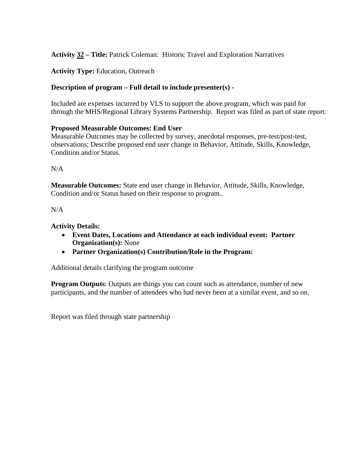# **Activity 32 – Title:** Patrick Coleman: Historic Travel and Exploration Narratives

# **Activity Type:** Education, Outreach

# **Description of program – Full detail to include presenter(s) -**

Included are expenses incurred by VLS to support the above program, which was paid for through the MHS/Regional Library Systems Partnership. Report was filed as part of state report.

### **Proposed Measurable Outcomes: End User**

Measurable Outcomes may be collected by survey, anecdotal responses, pre-test/post-test, observations; Describe proposed end user change in Behavior, Attitude, Skills, Knowledge, Condition and/or Status.

 $N/A$ 

**Measurable Outcomes:** State end user change in Behavior, Attitude, Skills, Knowledge, Condition and/or Status based on their response to program..

 $N/A$ 

### **Activity Details:**

- **Event Dates, Locations and Attendance at each individual event: Partner Organization(s):** None
- **Partner Organization(s) Contribution/Role in the Program:**

Additional details clarifying the program outcome

**Program Outputs**: Outputs are things you can count such as attendance, number of new participants, and the number of attendees who had never been at a similar event, and so on.

Report was filed through state partnership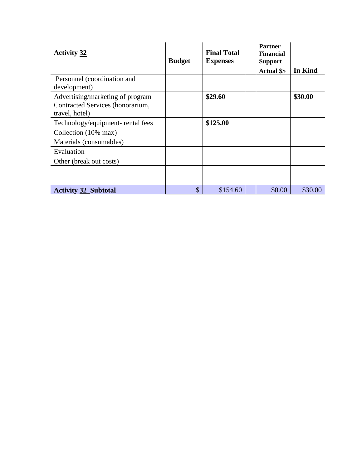| <b>Activity 32</b>               | <b>Budget</b> | <b>Final Total</b><br><b>Expenses</b> | <b>Partner</b><br><b>Financial</b><br><b>Support</b> |         |
|----------------------------------|---------------|---------------------------------------|------------------------------------------------------|---------|
|                                  |               |                                       | <b>Actual \$\$</b>                                   | In Kind |
| Personnel (coordination and      |               |                                       |                                                      |         |
| development)                     |               |                                       |                                                      |         |
| Advertising/marketing of program |               | \$29.60                               |                                                      | \$30.00 |
| Contracted Services (honorarium, |               |                                       |                                                      |         |
| travel, hotel)                   |               |                                       |                                                      |         |
| Technology/equipment-rental fees |               | \$125.00                              |                                                      |         |
| Collection (10% max)             |               |                                       |                                                      |         |
| Materials (consumables)          |               |                                       |                                                      |         |
| Evaluation                       |               |                                       |                                                      |         |
| Other (break out costs)          |               |                                       |                                                      |         |
|                                  |               |                                       |                                                      |         |
|                                  |               |                                       |                                                      |         |
| <b>Activity 32 Subtotal</b>      | $\mathcal{S}$ | \$154.60                              | \$0.00                                               | \$30.00 |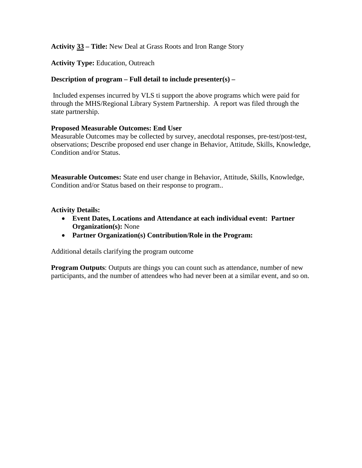**Activity 33 – Title:** New Deal at Grass Roots and Iron Range Story

**Activity Type:** Education, Outreach

#### **Description of program – Full detail to include presenter(s) –**

Included expenses incurred by VLS ti support the above programs which were paid for through the MHS/Regional Library System Partnership. A report was filed through the state partnership.

#### **Proposed Measurable Outcomes: End User**

Measurable Outcomes may be collected by survey, anecdotal responses, pre-test/post-test, observations; Describe proposed end user change in Behavior, Attitude, Skills, Knowledge, Condition and/or Status.

**Measurable Outcomes:** State end user change in Behavior, Attitude, Skills, Knowledge, Condition and/or Status based on their response to program..

#### **Activity Details:**

- **Event Dates, Locations and Attendance at each individual event: Partner Organization(s):** None
- **Partner Organization(s) Contribution/Role in the Program:**

Additional details clarifying the program outcome

**Program Outputs**: Outputs are things you can count such as attendance, number of new participants, and the number of attendees who had never been at a similar event, and so on.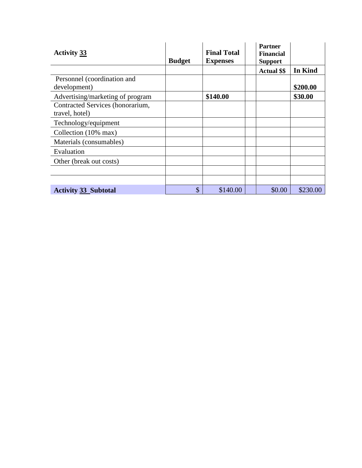| <b>Activity 33</b>               |               | <b>Final Total</b> | <b>Partner</b><br><b>Financial</b> |          |
|----------------------------------|---------------|--------------------|------------------------------------|----------|
|                                  | <b>Budget</b> | <b>Expenses</b>    | <b>Support</b>                     |          |
|                                  |               |                    | <b>Actual \$\$</b>                 | In Kind  |
| Personnel (coordination and      |               |                    |                                    |          |
| development)                     |               |                    |                                    | \$200.00 |
| Advertising/marketing of program |               | \$140.00           |                                    | \$30.00  |
| Contracted Services (honorarium, |               |                    |                                    |          |
| travel, hotel)                   |               |                    |                                    |          |
| Technology/equipment             |               |                    |                                    |          |
| Collection (10% max)             |               |                    |                                    |          |
| Materials (consumables)          |               |                    |                                    |          |
| Evaluation                       |               |                    |                                    |          |
| Other (break out costs)          |               |                    |                                    |          |
|                                  |               |                    |                                    |          |
|                                  |               |                    |                                    |          |
| <b>Activity 33 Subtotal</b>      | \$            | \$140.00           | \$0.00                             | \$230.00 |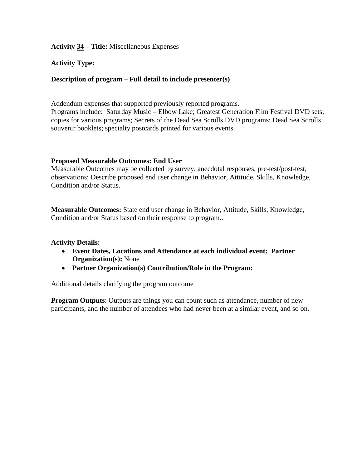#### **Activity 34 – Title:** Miscellaneous Expenses

#### **Activity Type:**

#### **Description of program – Full detail to include presenter(s)**

Addendum expenses that supported previously reported programs.

Programs include: Saturday Music – Elbow Lake; Greatest Generation Film Festival DVD sets; copies for various programs; Secrets of the Dead Sea Scrolls DVD programs; Dead Sea Scrolls souvenir booklets; specialty postcards printed for various events.

#### **Proposed Measurable Outcomes: End User**

Measurable Outcomes may be collected by survey, anecdotal responses, pre-test/post-test, observations; Describe proposed end user change in Behavior, Attitude, Skills, Knowledge, Condition and/or Status.

**Measurable Outcomes:** State end user change in Behavior, Attitude, Skills, Knowledge, Condition and/or Status based on their response to program..

#### **Activity Details:**

- **Event Dates, Locations and Attendance at each individual event: Partner Organization(s):** None
- **Partner Organization(s) Contribution/Role in the Program:**

Additional details clarifying the program outcome

**Program Outputs:** Outputs are things you can count such as attendance, number of new participants, and the number of attendees who had never been at a similar event, and so on.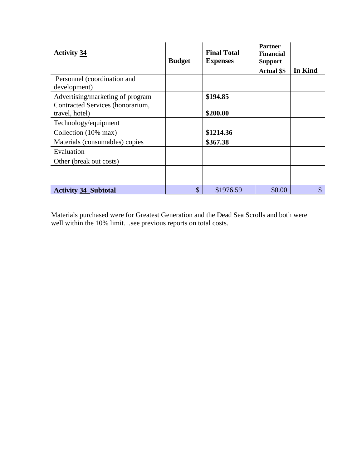| <b>Activity 34</b>               | <b>Budget</b> | <b>Final Total</b><br><b>Expenses</b> | <b>Partner</b><br><b>Financial</b><br><b>Support</b> |         |
|----------------------------------|---------------|---------------------------------------|------------------------------------------------------|---------|
|                                  |               |                                       | <b>Actual \$\$</b>                                   | In Kind |
| Personnel (coordination and      |               |                                       |                                                      |         |
| development)                     |               |                                       |                                                      |         |
| Advertising/marketing of program |               | \$194.85                              |                                                      |         |
| Contracted Services (honorarium, |               |                                       |                                                      |         |
| travel, hotel)                   |               | \$200.00                              |                                                      |         |
| Technology/equipment             |               |                                       |                                                      |         |
| Collection (10% max)             |               | \$1214.36                             |                                                      |         |
| Materials (consumables) copies   |               | \$367.38                              |                                                      |         |
| Evaluation                       |               |                                       |                                                      |         |
| Other (break out costs)          |               |                                       |                                                      |         |
|                                  |               |                                       |                                                      |         |
|                                  |               |                                       |                                                      |         |
| <b>Activity 34 Subtotal</b>      | \$            | \$1976.59                             | \$0.00                                               | \$      |

Materials purchased were for Greatest Generation and the Dead Sea Scrolls and both were well within the 10% limit…see previous reports on total costs.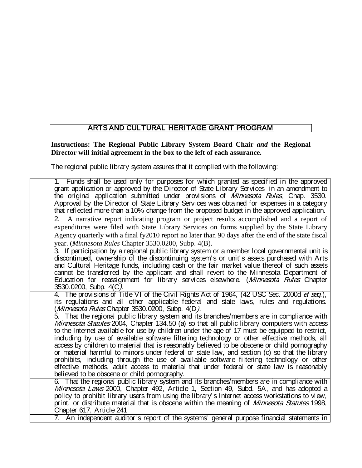# ARTS AND CULTURAL HERITAGE GRANT PROGRAM

**Instructions: The Regional Public Library System Board Chair** *and* **the Regional Director will initial agreement in the box to the left of each assurance.**

The regional public library system assures that it complied with the following:

| 1. Funds shall be used only for purposes for which granted as specified in the approved<br>grant application or approved by the Director of State Library Services in an amendment to<br>the original application submitted under provisions of <i>Minnesota Rules</i> , Chap. 3530.<br>Approval by the Director of State Library Services was obtained for expenses in a category |
|------------------------------------------------------------------------------------------------------------------------------------------------------------------------------------------------------------------------------------------------------------------------------------------------------------------------------------------------------------------------------------|
| that reflected more than a 10% change from the proposed budget in the approved application.                                                                                                                                                                                                                                                                                        |
| 2. A narrative report indicating program or project results accomplished and a report of                                                                                                                                                                                                                                                                                           |
| expenditures were filed with State Library Services on forms supplied by the State Library                                                                                                                                                                                                                                                                                         |
| Agency quarterly with a final fy2010 report no later than 90 days after the end of the state fiscal                                                                                                                                                                                                                                                                                |
| year. (Minnesota Rules Chapter 3530.0200, Subp. 4(B).<br>3. If participation by a regional public library system or a member local governmental unit is                                                                                                                                                                                                                            |
| discontinued, ownership of the discontinuing system's or unit's assets purchased with Arts                                                                                                                                                                                                                                                                                         |
| and Cultural Heritage funds, including cash or the fair market value thereof of such assets                                                                                                                                                                                                                                                                                        |
| cannot be transferred by the applicant and shall revert to the Minnesota Department of                                                                                                                                                                                                                                                                                             |
| Education for reassignment for library services elsewhere. (Minnesota Rules Chapter                                                                                                                                                                                                                                                                                                |
| 3530.0200, Subp. 4(C).                                                                                                                                                                                                                                                                                                                                                             |
| 4. The provisions of Title VI of the Civil Rights Act of 1964, (42 USC Sec. 2000d et seq.),<br>its regulations and all other applicable federal and state laws, rules and regulations.                                                                                                                                                                                             |
| (Minnesota Rules Chapter 3530.0200, Subp. 4(D).                                                                                                                                                                                                                                                                                                                                    |
| 5. That the regional public library system and its branches/members are in compliance with                                                                                                                                                                                                                                                                                         |
| Minnesota Statutes 2004, Chapter 134.50 (a) so that all public library computers with access                                                                                                                                                                                                                                                                                       |
| to the Internet available for use by children under the age of 17 must be equipped to restrict,                                                                                                                                                                                                                                                                                    |
| including by use of available software filtering technology or other effective methods, all<br>access by children to material that is reasonably believed to be obscene or child pornography                                                                                                                                                                                       |
| or material harmful to minors under federal or state law, and section (c) so that the library                                                                                                                                                                                                                                                                                      |
| prohibits, including through the use of available software filtering technology or other                                                                                                                                                                                                                                                                                           |
| effective methods, adult access to material that under federal or state law is reasonably                                                                                                                                                                                                                                                                                          |
| believed to be obscene or child pornography.                                                                                                                                                                                                                                                                                                                                       |
| 6. That the regional public library system and its branches/members are in compliance with                                                                                                                                                                                                                                                                                         |
| Minnesota Laws 2000, Chapter 492, Article 1, Section 49, Subd. 5A, and has adopted a                                                                                                                                                                                                                                                                                               |
| policy to prohibit library users from using the library's Internet access workstations to view,<br>print, or distribute material that is obscene within the meaning of <i>Minnesota Statutes</i> 1998,                                                                                                                                                                             |
| Chapter 617, Article 241                                                                                                                                                                                                                                                                                                                                                           |
| 7. An independent auditor's report of the systems' general purpose financial statements in                                                                                                                                                                                                                                                                                         |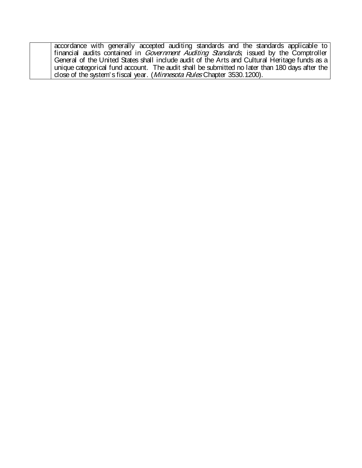| accordance with generally accepted auditing standards and the standards applicable to          |
|------------------------------------------------------------------------------------------------|
| financial audits contained in <i>Government Auditing Standards</i> , issued by the Comptroller |
| General of the United States shall include audit of the Arts and Cultural Heritage funds as a  |
| unique categorical fund account. The audit shall be submitted no later than 180 days after the |
| dose of the system's fiscal year. ( <i>Minnesota Rules</i> Chapter 3530.1200).                 |